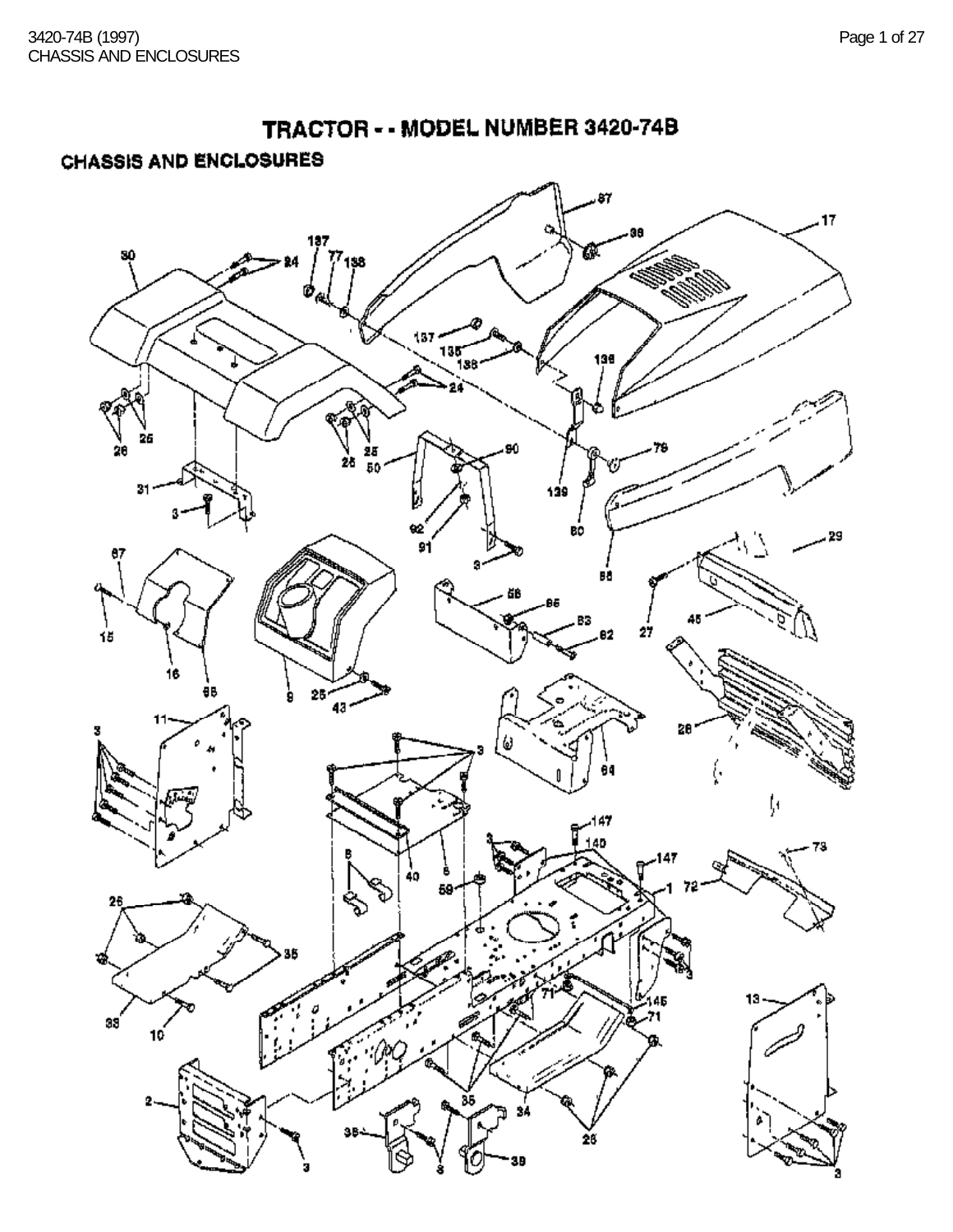TRACTOR - - MODEL NUMBER 3420-74B **CHASSIS AND ENCLOSURES** Œ  $137.$ E V<br>20 25<br>50 ĺ , 29 g. BÔ ä₿ AB. )<br>15 B3 θB ģ 6) ţ, 147ء Ī  $10<sup>2</sup>$ ٠m, ø Ŕ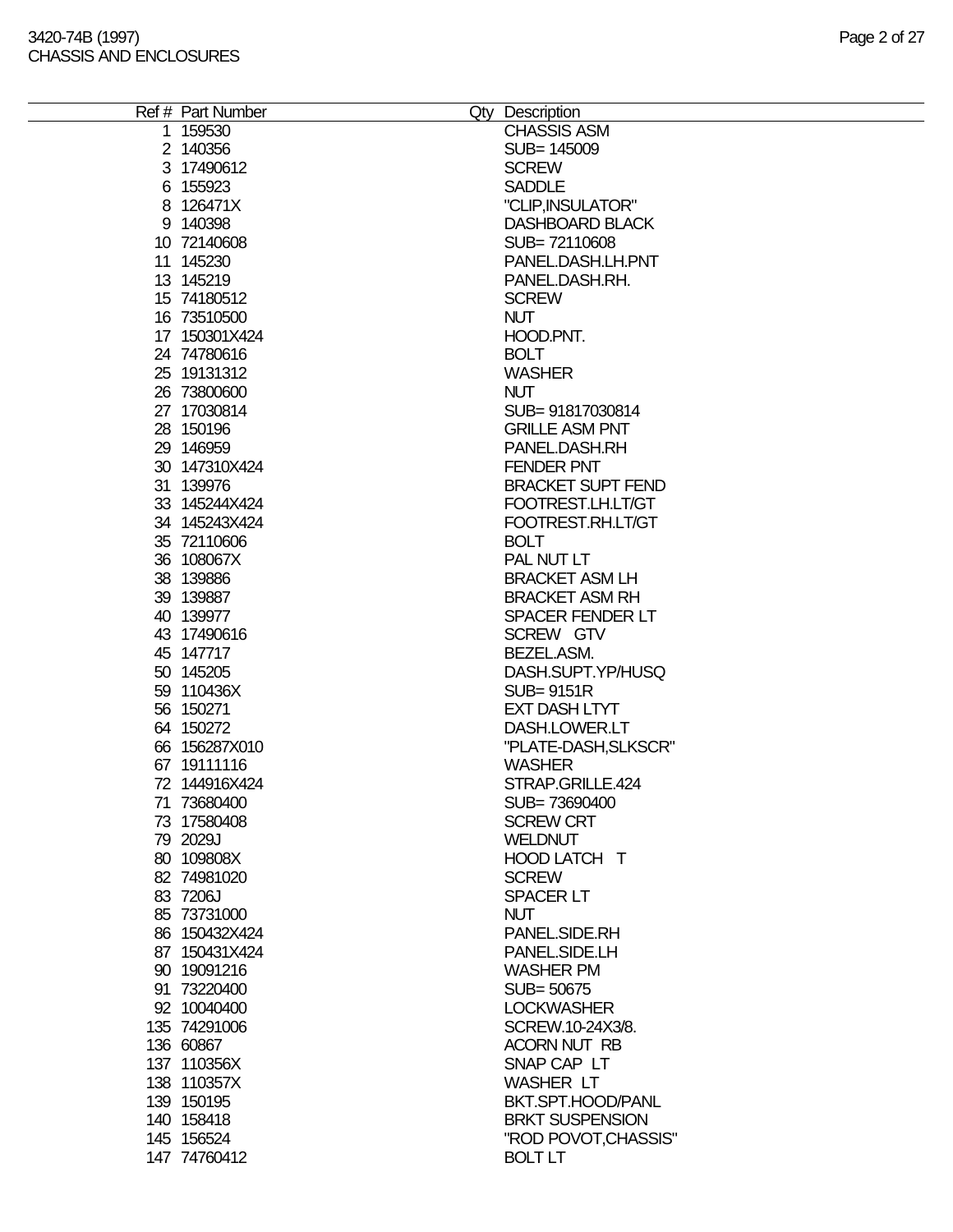| Ref # Part Number | Qty Description          |
|-------------------|--------------------------|
| 1 159530          | <b>CHASSIS ASM</b>       |
| 2 140356          | SUB= 145009              |
| 3 17490612        | <b>SCREW</b>             |
| 6 155923          | <b>SADDLE</b>            |
| 8 126471X         | "CLIP, INSULATOR"        |
| 9 140398          | <b>DASHBOARD BLACK</b>   |
| 10 72140608       | SUB=72110608             |
| 11 145230         | PANEL.DASH.LH.PNT        |
| 13 145219         | PANEL.DASH.RH.           |
| 15 74180512       | <b>SCREW</b>             |
|                   |                          |
| 16 73510500       | <b>NUT</b>               |
| 17 150301X424     | HOOD.PNT.                |
| 24 74780616       | <b>BOLT</b>              |
| 25 19131312       | <b>WASHER</b>            |
| 26 73800600       | <b>NUT</b>               |
| 27 17030814       | SUB= 91817030814         |
| 28 150196         | <b>GRILLE ASM PNT</b>    |
| 29 146959         | PANEL.DASH.RH            |
| 30 147310X424     | <b>FENDER PNT</b>        |
| 31 139976         | <b>BRACKET SUPT FEND</b> |
| 33 145244X424     | FOOTREST.LH.LT/GT        |
| 34 145243X424     | FOOTREST.RH.LT/GT        |
| 35 72110606       | <b>BOLT</b>              |
|                   |                          |
| 36 108067X        | PAL NUT LT               |
| 38 139886         | <b>BRACKET ASM LH</b>    |
| 39 139887         | <b>BRACKET ASM RH</b>    |
| 40 139977         | <b>SPACER FENDER LT</b>  |
| 43 17490616       | SCREW GTV                |
| 45 147717         | BEZEL.ASM.               |
| 50 145205         | DASH.SUPT.YP/HUSQ        |
| 59 110436X        | <b>SUB=9151R</b>         |
| 56 150271         | <b>EXT DASH LTYT</b>     |
| 64 150272         | DASH.LOWER.LT            |
| 66 156287X010     | "PLATE-DASH, SLKSCR"     |
| 67 19111116       | <b>WASHER</b>            |
| 72 144916X424     | STRAP.GRILLE.424         |
| 71 73680400       | SUB=73690400             |
| 73 17580408       | <b>SCREW CRT</b>         |
| 79 2029J          | <b>WELDNUT</b>           |
|                   |                          |
| 80 109808X        | HOOD LATCH T             |
| 82 74981020       | <b>SCREW</b>             |
| 83 7206J          | <b>SPACER LT</b>         |
| 85 73731000       | <b>NUT</b>               |
| 86 150432X424     | PANEL.SIDE.RH            |
| 87 150431X424     | PANEL.SIDE.LH            |
| 90 19091216       | <b>WASHER PM</b>         |
| 91 73220400       | SUB= 50675               |
| 92 10040400       | <b>LOCKWASHER</b>        |
| 135 74291006      | SCREW.10-24X3/8.         |
| 136 60867         | <b>ACORN NUT RB</b>      |
| 137 110356X       | SNAP CAP LT              |
| 138 110357X       | <b>WASHER LT</b>         |
|                   | BKT.SPT.HOOD/PANL        |
| 139 150195        |                          |
| 140 158418        | <b>BRKT SUSPENSION</b>   |
| 145 156524        | "ROD POVOT, CHASSIS"     |
| 147 74760412      | <b>BOLT LT</b>           |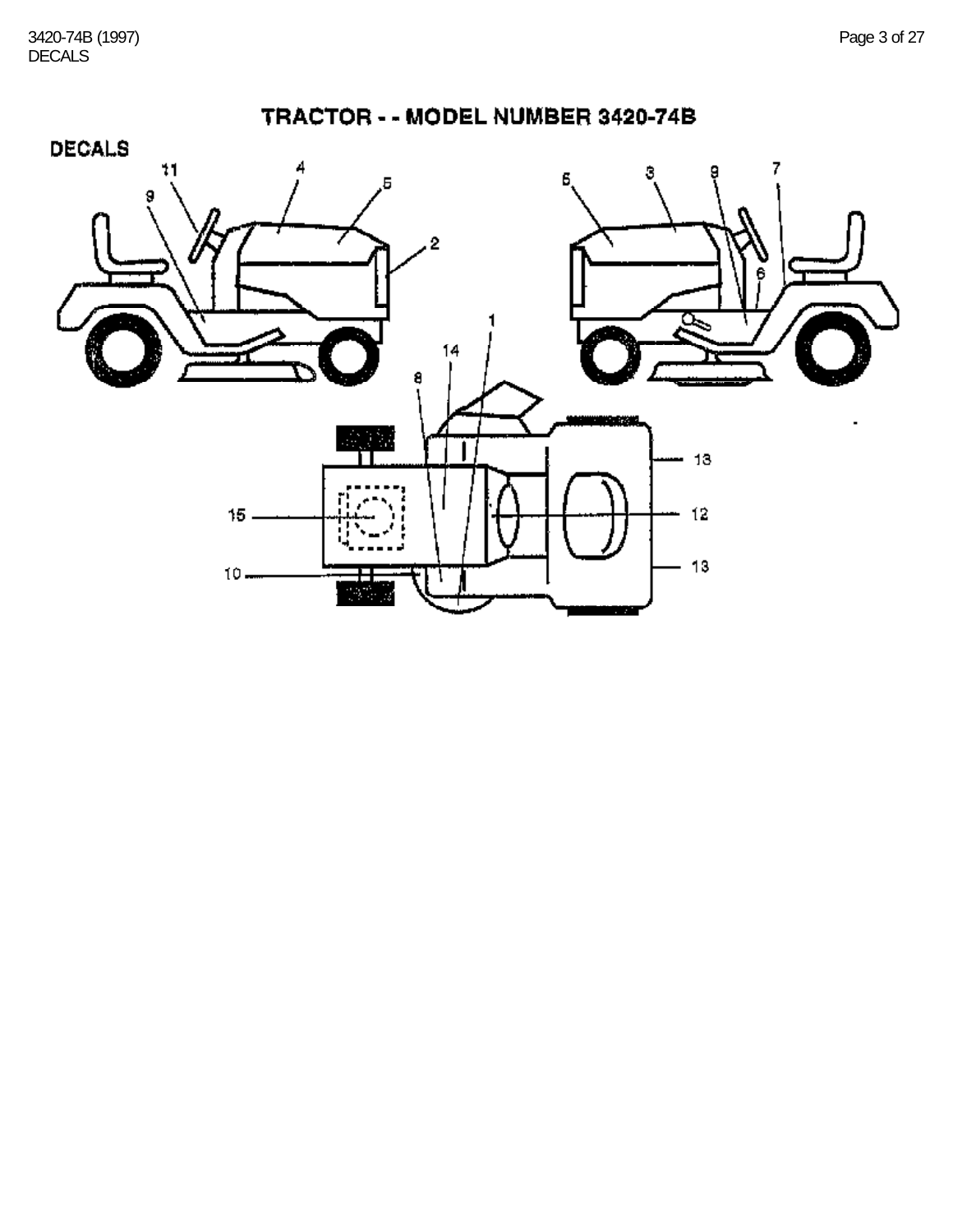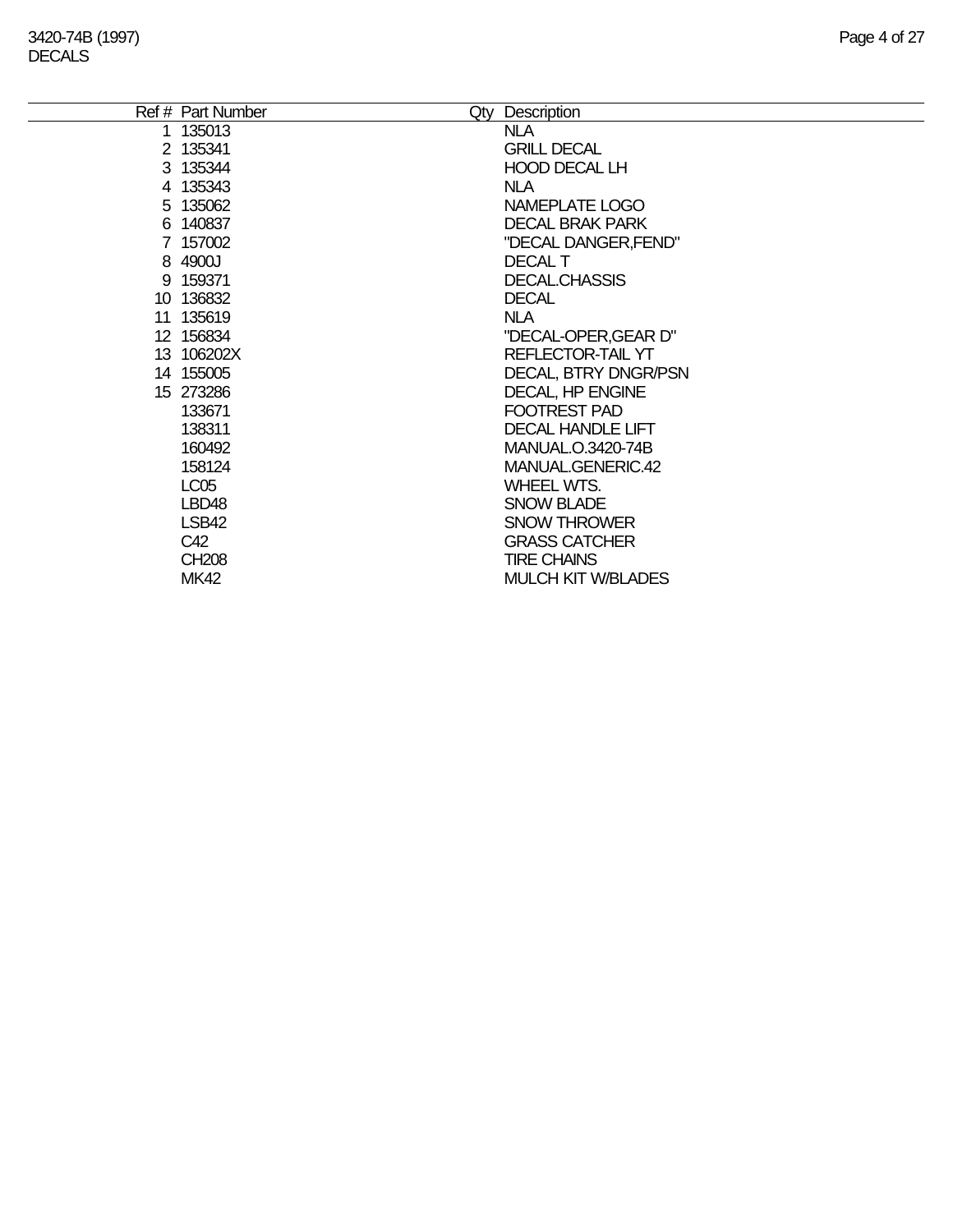| Ref # Part Number<br>Qty | Description                 |
|--------------------------|-----------------------------|
| 1 135013                 | <b>NLA</b>                  |
| 2 135341                 | <b>GRILL DECAL</b>          |
| 3 135344                 | <b>HOOD DECAL LH</b>        |
| 4 135343                 | NLA.                        |
| 5 135062                 | NAMEPLATE LOGO              |
| 6 140837                 | <b>DECAL BRAK PARK</b>      |
| 7 157002                 | "DECAL DANGER, FEND"        |
| 8 4900J                  | DECAL T                     |
| 9 159371                 | <b>DECAL.CHASSIS</b>        |
| 10 136832                | <b>DECAL</b>                |
| 11 135619                | <b>NLA</b>                  |
| 12 156834                | "DECAL-OPER, GEAR D"        |
| 13 106202X               | REFLECTOR-TAIL YT           |
| 14 155005                | <b>DECAL, BTRY DNGR/PSN</b> |
| 15 273286                | <b>DECAL, HP ENGINE</b>     |
| 133671                   | <b>FOOTREST PAD</b>         |
| 138311                   | <b>DECAL HANDLE LIFT</b>    |
| 160492                   | MANUAL.O.3420-74B           |
| 158124                   | MANUAL.GENERIC.42           |
| LC <sub>05</sub>         | <b>WHEEL WTS.</b>           |
| LBD <sub>48</sub>        | <b>SNOW BLADE</b>           |
| LSB42                    | <b>SNOW THROWER</b>         |
| C42                      | <b>GRASS CATCHER</b>        |
| <b>CH208</b>             | <b>TIRE CHAINS</b>          |
| <b>MK42</b>              | <b>MULCH KIT W/BLADES</b>   |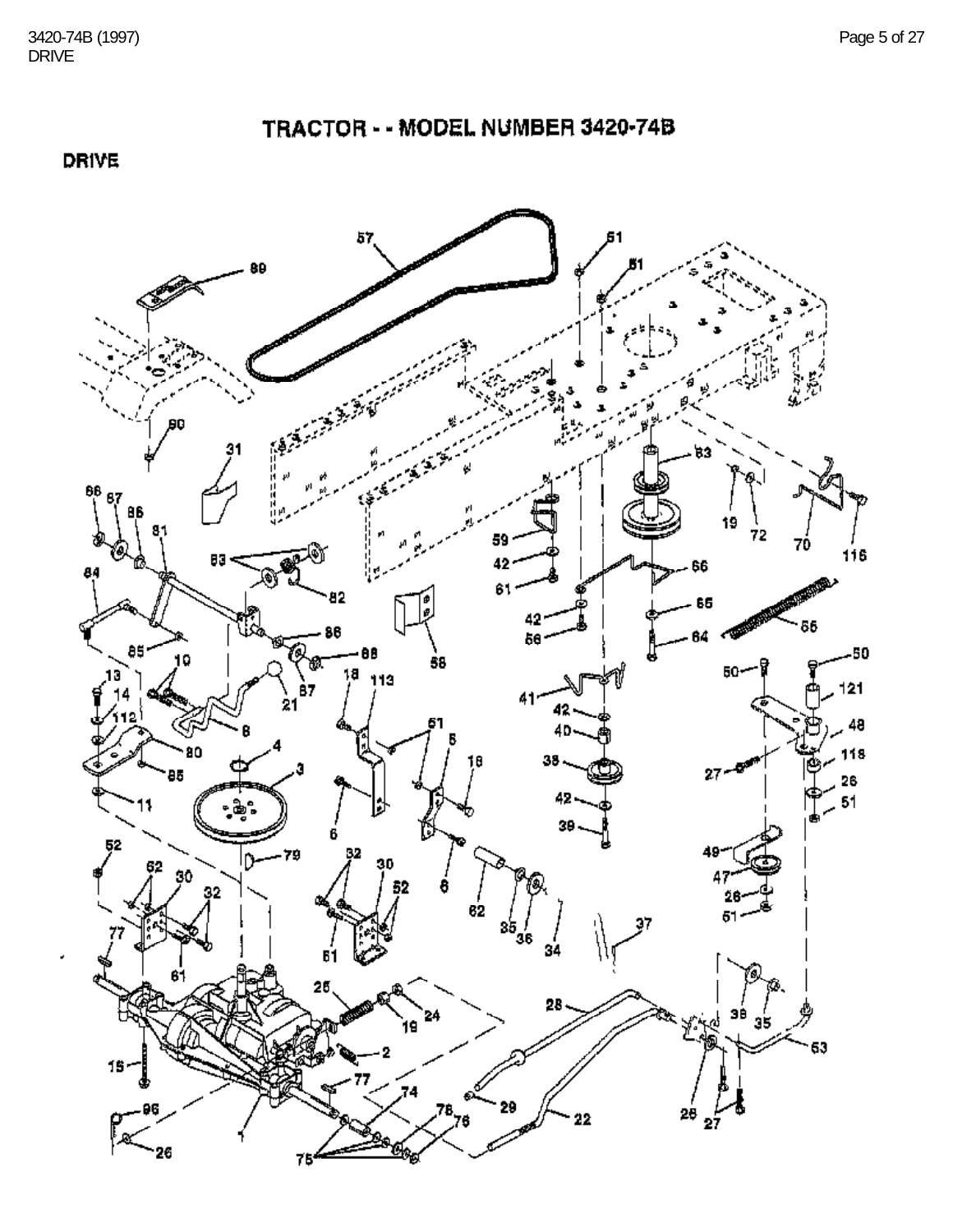**DRIVE** 

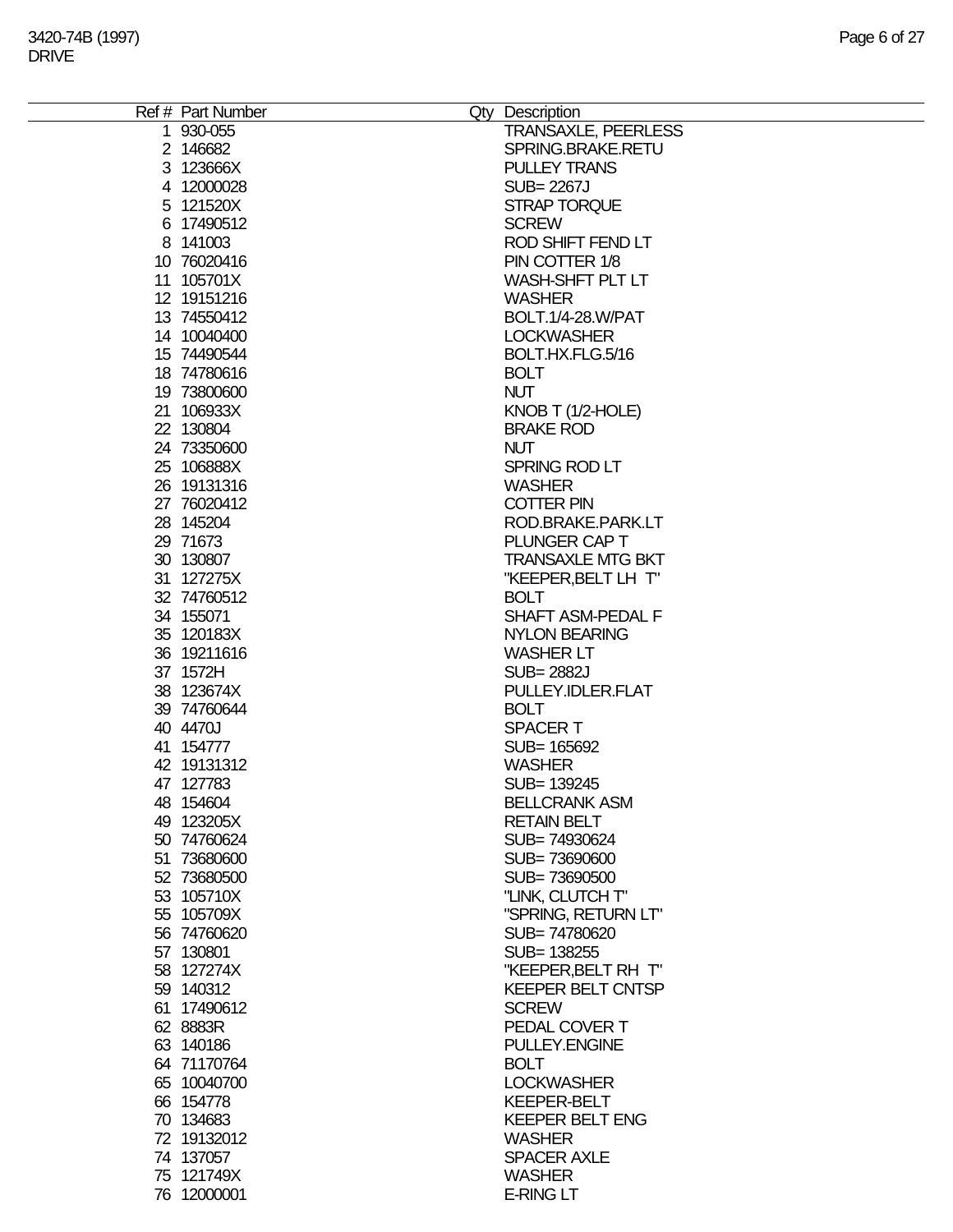| Ref # Part Number | Qty Description            |
|-------------------|----------------------------|
| 1 930-055         | <b>TRANSAXLE, PEERLESS</b> |
| 2 146682          | SPRING.BRAKE.RETU          |
|                   |                            |
| 3 123666X         | <b>PULLEY TRANS</b>        |
| 4 12000028        | SUB= 2267J                 |
| 5 121520X         | STRAP TORQUE               |
| 6 17490512        | <b>SCREW</b>               |
| 8 141003          | ROD SHIFT FEND LT          |
| 10 76020416       | PIN COTTER 1/8             |
|                   |                            |
| 11 105701X        | WASH-SHFT PLT LT           |
| 12 19151216       | <b>WASHER</b>              |
| 13 74550412       | BOLT.1/4-28.W/PAT          |
| 14 10040400       | <b>LOCKWASHER</b>          |
| 15 74490544       | BOLT.HX.FLG.5/16           |
|                   |                            |
| 18 74780616       | <b>BOLT</b>                |
| 19 73800600       | <b>NUT</b>                 |
| 21 106933X        | KNOB T (1/2-HOLE)          |
| 22 130804         | <b>BRAKE ROD</b>           |
| 24 73350600       | <b>NUT</b>                 |
| 25 106888X        | SPRING ROD LT              |
|                   |                            |
| 26 19131316       | <b>WASHER</b>              |
| 27 76020412       | <b>COTTER PIN</b>          |
| 28 145204         | ROD.BRAKE.PARK.LT          |
| 29 71673          | PLUNGER CAP T              |
| 30 130807         | <b>TRANSAXLE MTG BKT</b>   |
|                   |                            |
| 31 127275X        | "KEEPER, BELT LH T"        |
| 32 74760512       | <b>BOLT</b>                |
| 34 155071         | SHAFT ASM-PEDAL F          |
| 35 120183X        | <b>NYLON BEARING</b>       |
| 36 19211616       | <b>WASHER LT</b>           |
| 37 1572H          | <b>SUB=2882J</b>           |
|                   |                            |
| 38 123674X        | PULLEY.IDLER.FLAT          |
| 39 74760644       | <b>BOLT</b>                |
| 40 4470J          | <b>SPACERT</b>             |
| 41 154777         | SUB= 165692                |
| 42 19131312       | <b>WASHER</b>              |
| 47 127783         | SUB= 139245                |
|                   |                            |
| 48 154604         | <b>BELLCRANK ASM</b>       |
| 49 123205X        | <b>RETAIN BELT</b>         |
| 50 74760624       | SUB= 74930624              |
| 51 73680600       | SUB=73690600               |
| 52 73680500       | SUB=73690500               |
| 53 105710X        | "LINK, CLUTCH T"           |
|                   |                            |
| 55 105709X        | "SPRING, RETURN LT"        |
| 56 74760620       | SUB=74780620               |
| 57 130801         | SUB= 138255                |
| 58 127274X        | "KEEPER, BELT RH T"        |
| 59 140312         | <b>KEEPER BELT CNTSP</b>   |
| 61 17490612       | <b>SCREW</b>               |
|                   |                            |
| 62 8883R          | PEDAL COVER T              |
| 63 140186         | <b>PULLEY.ENGINE</b>       |
| 64 71170764       | <b>BOLT</b>                |
| 65 10040700       | <b>LOCKWASHER</b>          |
| 66 154778         | <b>KEEPER-BELT</b>         |
|                   |                            |
| 70 134683         | <b>KEEPER BELT ENG</b>     |
| 72 19132012       | <b>WASHER</b>              |
| 74 137057         | <b>SPACER AXLE</b>         |
| 75 121749X        | <b>WASHER</b>              |
| 76 12000001       | <b>E-RING LT</b>           |
|                   |                            |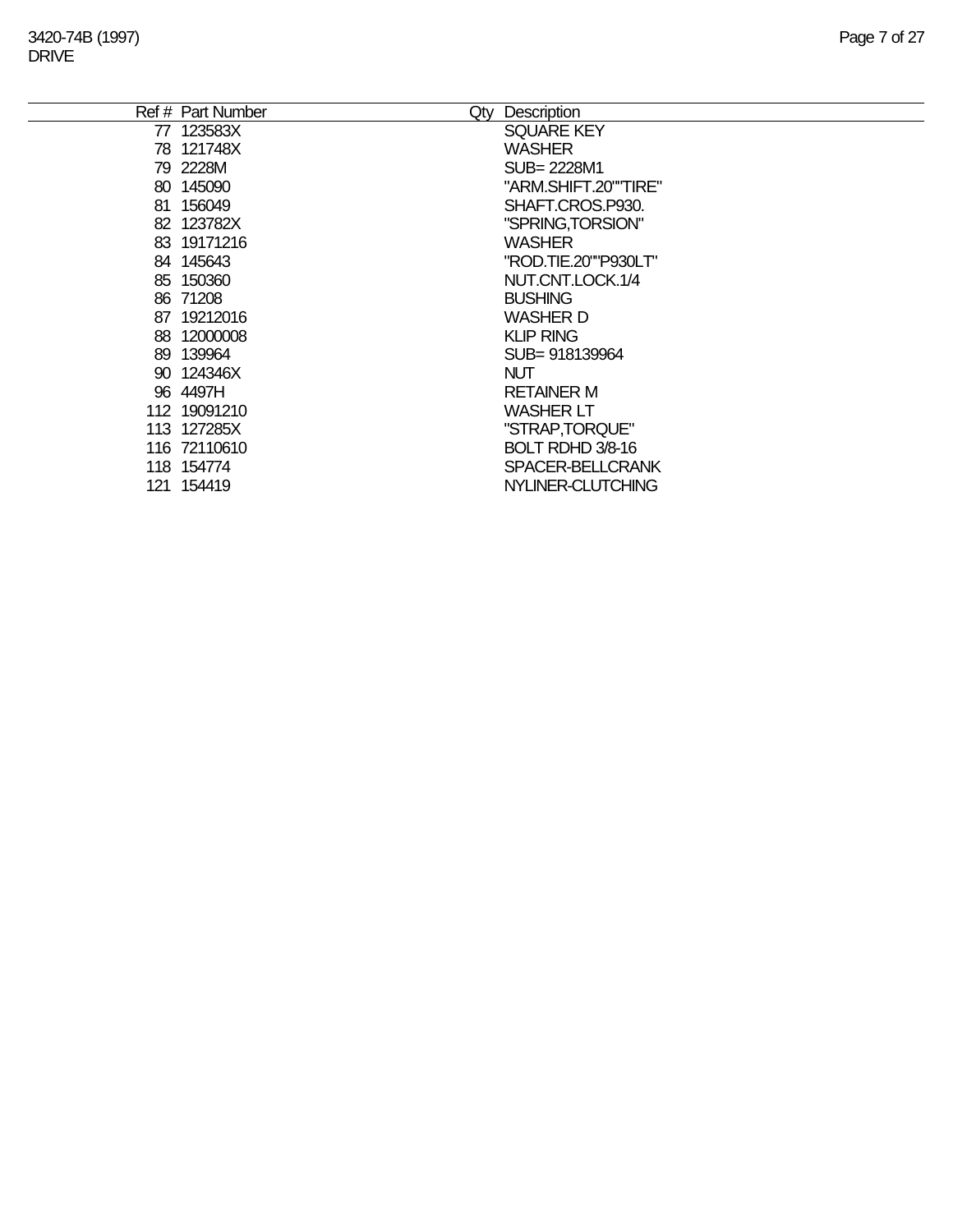|    | Ref # Part Number<br>Qty | Description          |
|----|--------------------------|----------------------|
|    | 77 123583X               | <b>SQUARE KEY</b>    |
|    | 78 121748X               | <b>WASHER</b>        |
|    | 79 2228M                 | SUB= 2228M1          |
|    | 80 145090                | "ARM.SHIFT.20""TIRE" |
| 81 | 156049                   | SHAFT.CROS.P930.     |
|    | 82 123782X               | "SPRING,TORSION"     |
|    | 83 19171216              | <b>WASHER</b>        |
|    | 84 145643                | "ROD.TIE.20""P930LT" |
|    | 85 150360                | NUT.CNT.LOCK.1/4     |
|    | 86 71208                 | <b>BUSHING</b>       |
| 87 | 19212016                 | <b>WASHER D</b>      |
| 88 | 12000008                 | <b>KLIP RING</b>     |
| 89 | 139964                   | SUB=918139964        |
|    | 90 124346X               | <b>NUT</b>           |
|    | 96 4497H                 | <b>RETAINER M</b>    |
|    | 112 19091210             | <b>WASHER LT</b>     |
|    | 113 127285X              | "STRAP, TORQUE"      |
|    | 116 72110610             | BOLT RDHD 3/8-16     |
|    | 118 154774               | SPACER-BELLCRANK     |
|    | 121 154419               | NYLINER-CLUTCHING    |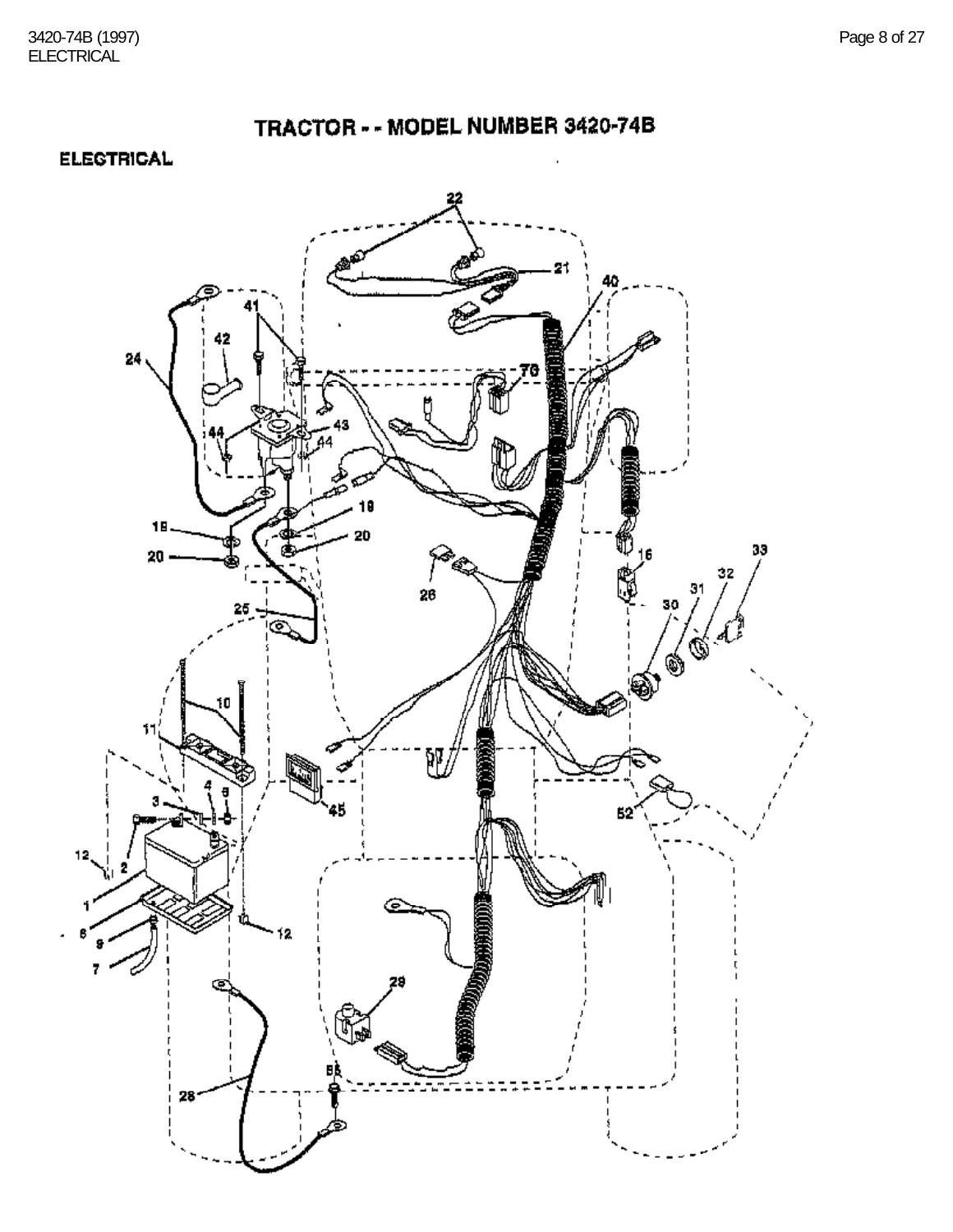TRACTOR - - MODEL NUMBER 3420-74B

**ELECTRICAL** 

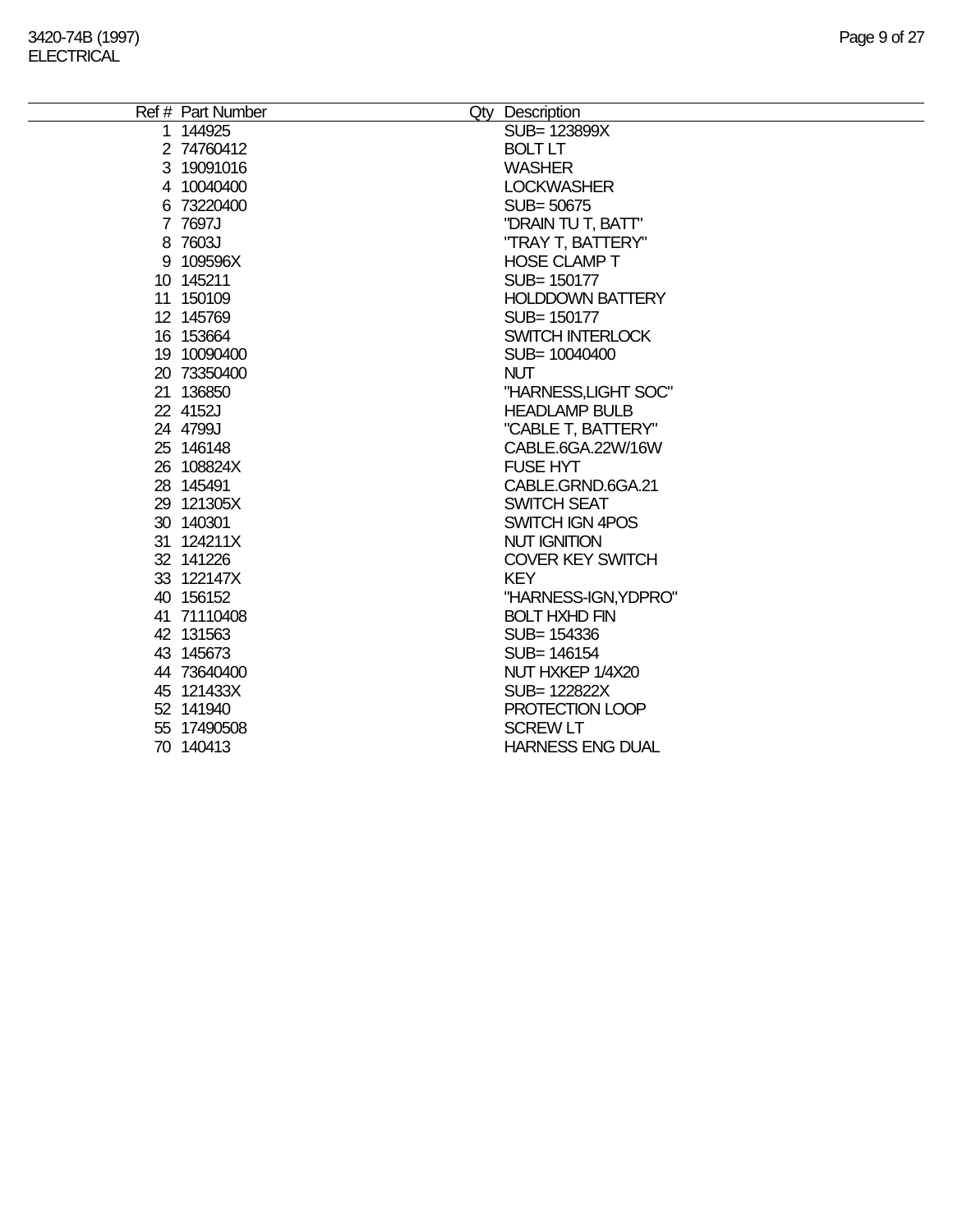÷.

| Ref # Part Number | Qty Description         |
|-------------------|-------------------------|
| 1 144925          | SUB= 123899X            |
| 2 74760412        | <b>BOLT LT</b>          |
| 3 19091016        | <b>WASHER</b>           |
| 4 10040400        | <b>LOCKWASHER</b>       |
| 6 73220400        | SUB= 50675              |
| 7 7697J           | "DRAIN TU T, BATT"      |
| 8 7603J           | "TRAY T, BATTERY"       |
| 9 109596X         | <b>HOSE CLAMP T</b>     |
| 10 145211         | SUB= 150177             |
| 11 150109         | <b>HOLDDOWN BATTERY</b> |
| 12 145769         | SUB= 150177             |
| 16 153664         | <b>SWITCH INTERLOCK</b> |
| 19 10090400       | SUB= 10040400           |
| 20 73350400       | <b>NUT</b>              |
| 21 136850         | "HARNESS, LIGHT SOC"    |
| 22 4152J          | <b>HEADLAMP BULB</b>    |
| 24 4799J          | "CABLE T, BATTERY"      |
| 25 146148         | CABLE.6GA.22W/16W       |
| 26 108824X        | <b>FUSE HYT</b>         |
| 28 145491         | CABLE.GRND.6GA.21       |
| 29 121305X        | <b>SWITCH SEAT</b>      |
| 30 140301         | SWITCH IGN 4POS         |
| 31 124211X        | <b>NUT IGNITION</b>     |
| 32 141226         | <b>COVER KEY SWITCH</b> |
| 33 122147X        | <b>KEY</b>              |
| 40 156152         | "HARNESS-IGN, YDPRO"    |
| 41 71110408       | <b>BOLT HXHD FIN</b>    |
| 42 131563         | SUB= 154336             |
| 43 145673         | SUB= 146154             |
| 44 73640400       | NUT HXKEP 1/4X20        |
| 45 121433X        | SUB= 122822X            |
| 52 141940         | PROTECTION LOOP         |
| 55 17490508       | <b>SCREW LT</b>         |
| 70 140413         | <b>HARNESS ENG DUAL</b> |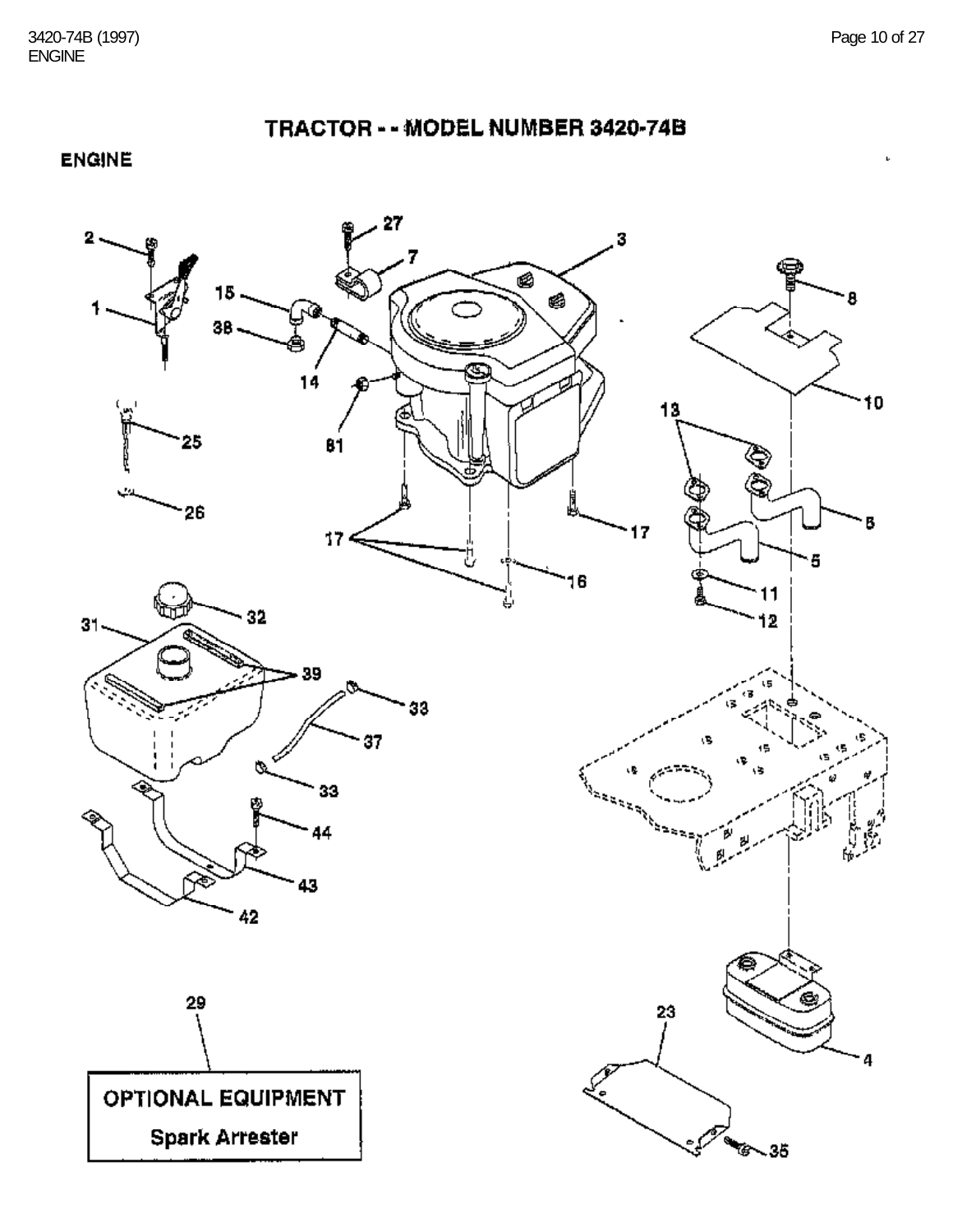$\mathbf{b}$ 

TRACTOR - - MODEL NUMBER 3420-74B

**ENGINE** 

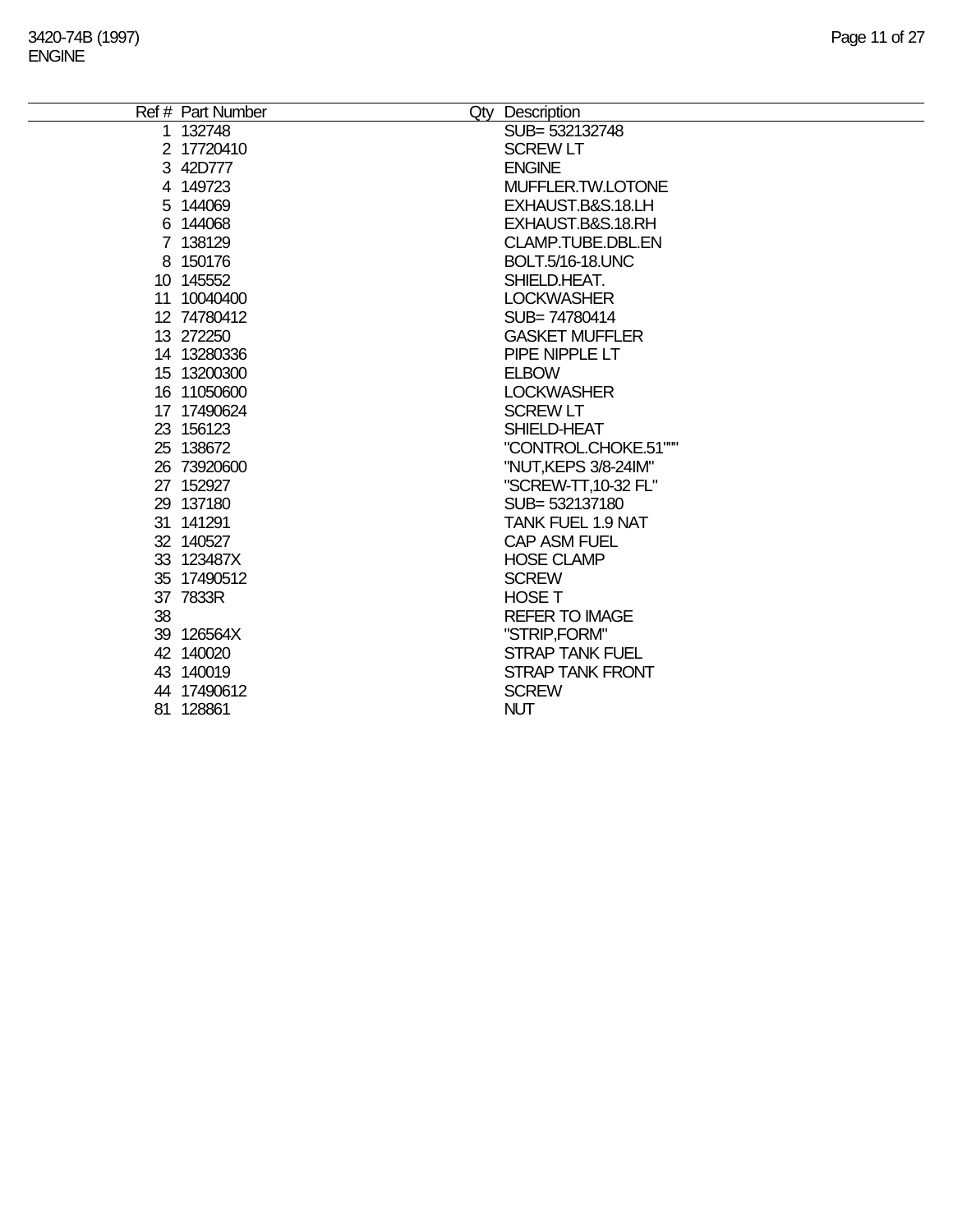÷.

|    | Ref # Part Number | Qty Description          |
|----|-------------------|--------------------------|
|    | 1 132748          | SUB= 532132748           |
|    | 2 17720410        | <b>SCREW LT</b>          |
|    | 3 42D777          | <b>ENGINE</b>            |
|    | 4 149723          | MUFFLER.TW.LOTONE        |
|    | 5 144069          | EXHAUST.B&S.18.LH        |
|    | 6 144068          | EXHAUST.B&S.18.RH        |
|    | 7 138129          | CLAMP.TUBE.DBL.EN        |
|    | 8 150176          | BOLT.5/16-18.UNC         |
|    | 10 145552         | SHIELD.HEAT.             |
|    | 11 10040400       | <b>LOCKWASHER</b>        |
|    | 12 74780412       | SUB=74780414             |
|    | 13 272250         | <b>GASKET MUFFLER</b>    |
|    | 14 13280336       | PIPE NIPPLE LT           |
|    | 15 13200300       | <b>ELBOW</b>             |
|    | 16 11050600       | <b>LOCKWASHER</b>        |
|    | 17 17490624       | <b>SCREW LT</b>          |
|    | 23 156123         | SHIELD-HEAT              |
|    | 25 138672         | "CONTROL.CHOKE.51"""     |
|    | 26 73920600       | "NUT, KEPS 3/8-24IM"     |
|    | 27 152927         | "SCREW-TT, 10-32 FL"     |
|    | 29 137180         | SUB= 532137180           |
|    | 31 141291         | <b>TANK FUEL 1.9 NAT</b> |
|    | 32 140527         | <b>CAP ASM FUEL</b>      |
|    | 33 123487X        | <b>HOSE CLAMP</b>        |
|    | 35 17490512       | <b>SCREW</b>             |
|    | 37 7833R          | <b>HOSE T</b>            |
| 38 |                   | <b>REFER TO IMAGE</b>    |
|    | 39 126564X        | "STRIP,FORM"             |
|    | 42 140020         | <b>STRAP TANK FUEL</b>   |
|    | 43 140019         | <b>STRAP TANK FRONT</b>  |
|    | 44 17490612       | <b>SCREW</b>             |
|    | 81 128861         | <b>NUT</b>               |
|    |                   |                          |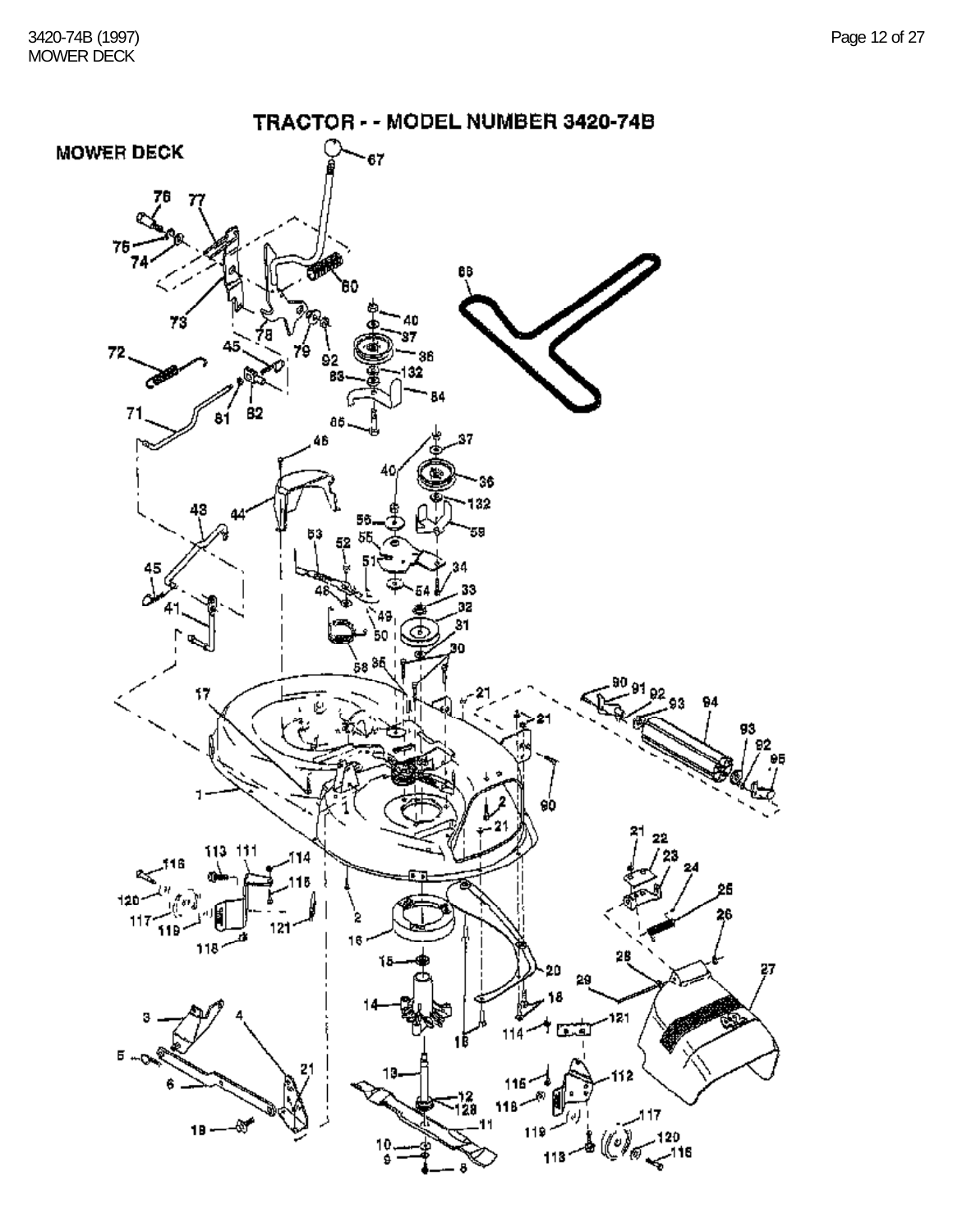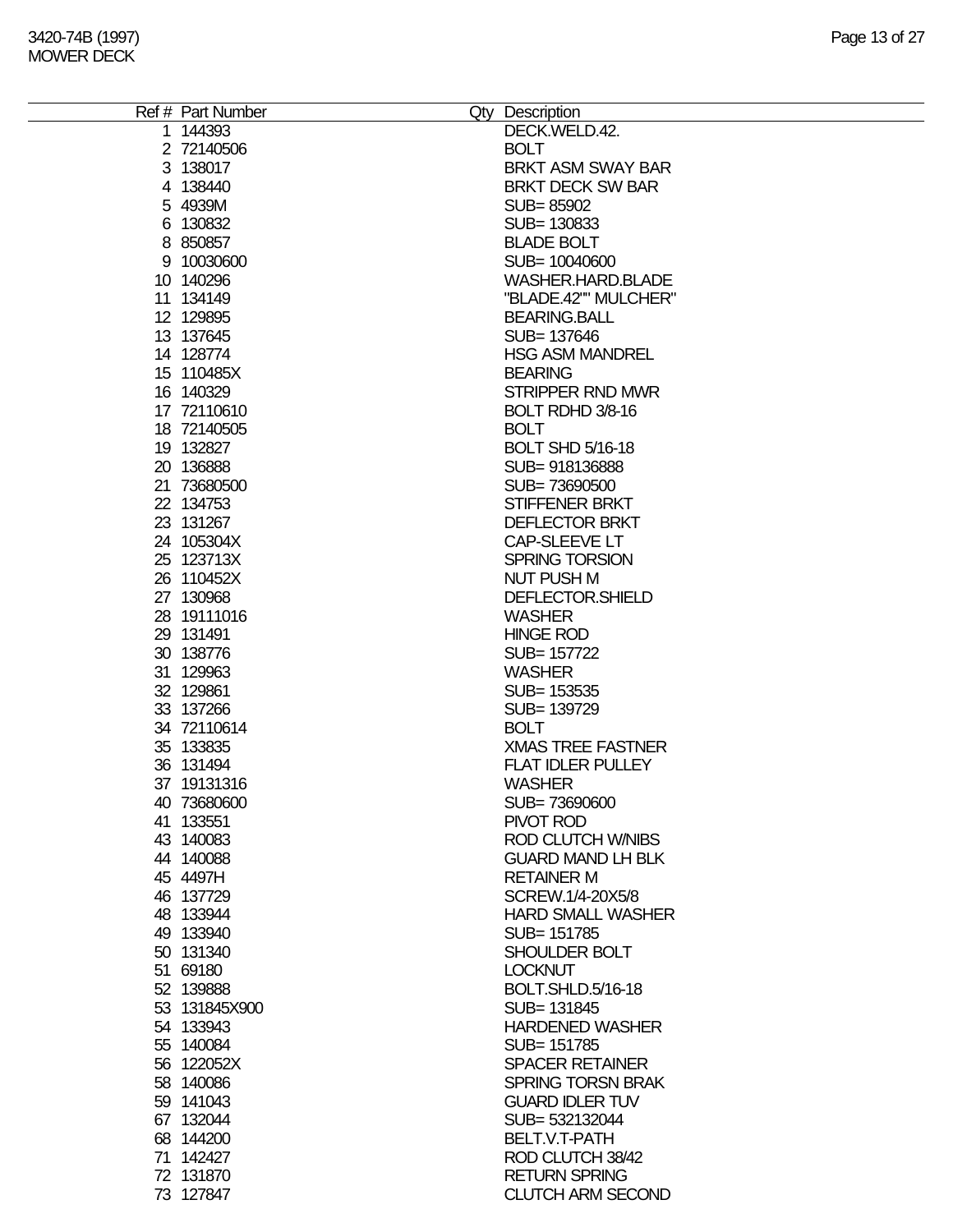| Ref # Part Number | Qty Description          |
|-------------------|--------------------------|
| 1 144393          | DECK.WELD.42.            |
| 2 72140506        | <b>BOLT</b>              |
|                   | BRKT ASM SWAY BAR        |
| 3 138017          |                          |
| 4 138440          | <b>BRKT DECK SW BAR</b>  |
| 5 4939M           | SUB=85902                |
| 6 130832          | SUB=130833               |
| 8 850857          | <b>BLADE BOLT</b>        |
| 9 10030600        | SUB= 10040600            |
| 10 140296         | WASHER.HARD.BLADE        |
| 11 134149         | "BLADE.42"" MULCHER"     |
| 12 129895         | <b>BEARING.BALL</b>      |
| 13 137645         | SUB= 137646              |
| 14 128774         | <b>HSG ASM MANDREL</b>   |
| 15 110485X        | <b>BEARING</b>           |
| 16 140329         | <b>STRIPPER RND MWR</b>  |
| 17 72110610       | BOLT RDHD 3/8-16         |
| 18 72140505       | <b>BOLT</b>              |
| 19 132827         | <b>BOLT SHD 5/16-18</b>  |
| 20 136888         | SUB=918136888            |
| 21 73680500       | SUB=73690500             |
| 22 134753         | STIFFENER BRKT           |
| 23 131267         | <b>DEFLECTOR BRKT</b>    |
| 24 105304X        | CAP-SLEEVE LT            |
|                   |                          |
| 25 123713X        | <b>SPRING TORSION</b>    |
| 26 110452X        | <b>NUT PUSH M</b>        |
| 27 130968         | DEFLECTOR.SHIELD         |
| 28 19111016       | <b>WASHER</b>            |
| 29 131491         | <b>HINGE ROD</b>         |
| 30 138776         | SUB= 157722              |
| 31 129963         | <b>WASHER</b>            |
| 32 129861         | SUB= 153535              |
| 33 137266         | SUB= 139729              |
| 34 72110614       | <b>BOLT</b>              |
| 35 133835         | <b>XMAS TREE FASTNER</b> |
| 36 131494         | FLAT IDLER PULLEY        |
| 37 19131316       | <b>WASHER</b>            |
| 40 73680600       | SUB=73690600             |
| 41 133551         | PIVOT ROD                |
| 43 140083         | <b>ROD CLUTCH WAIBS</b>  |
| 44 140088         | <b>GUARD MAND LH BLK</b> |
| 45 4497H          | <b>RETAINER M</b>        |
| 46 137729         | SCREW.1/4-20X5/8         |
| 48 133944         | <b>HARD SMALL WASHER</b> |
| 49 133940         | SUB= 151785              |
| 50 131340         | SHOULDER BOLT            |
| 51 69180          | <b>LOCKNUT</b>           |
| 52 139888         | <b>BOLT.SHLD.5/16-18</b> |
|                   |                          |
| 53 131845X900     | SUB= 131845              |
| 54 133943         | <b>HARDENED WASHER</b>   |
| 55 140084         | SUB= 151785              |
| 56 122052X        | <b>SPACER RETAINER</b>   |
| 58 140086         | <b>SPRING TORSN BRAK</b> |
| 59 141043         | <b>GUARD IDLER TUV</b>   |
| 67 132044         | SUB= 532132044           |
| 68 144200         | BELT.V.T-PATH            |
| 71 142427         | ROD CLUTCH 38/42         |
| 72 131870         | <b>RETURN SPRING</b>     |
| 73 127847         | <b>CLUTCH ARM SECOND</b> |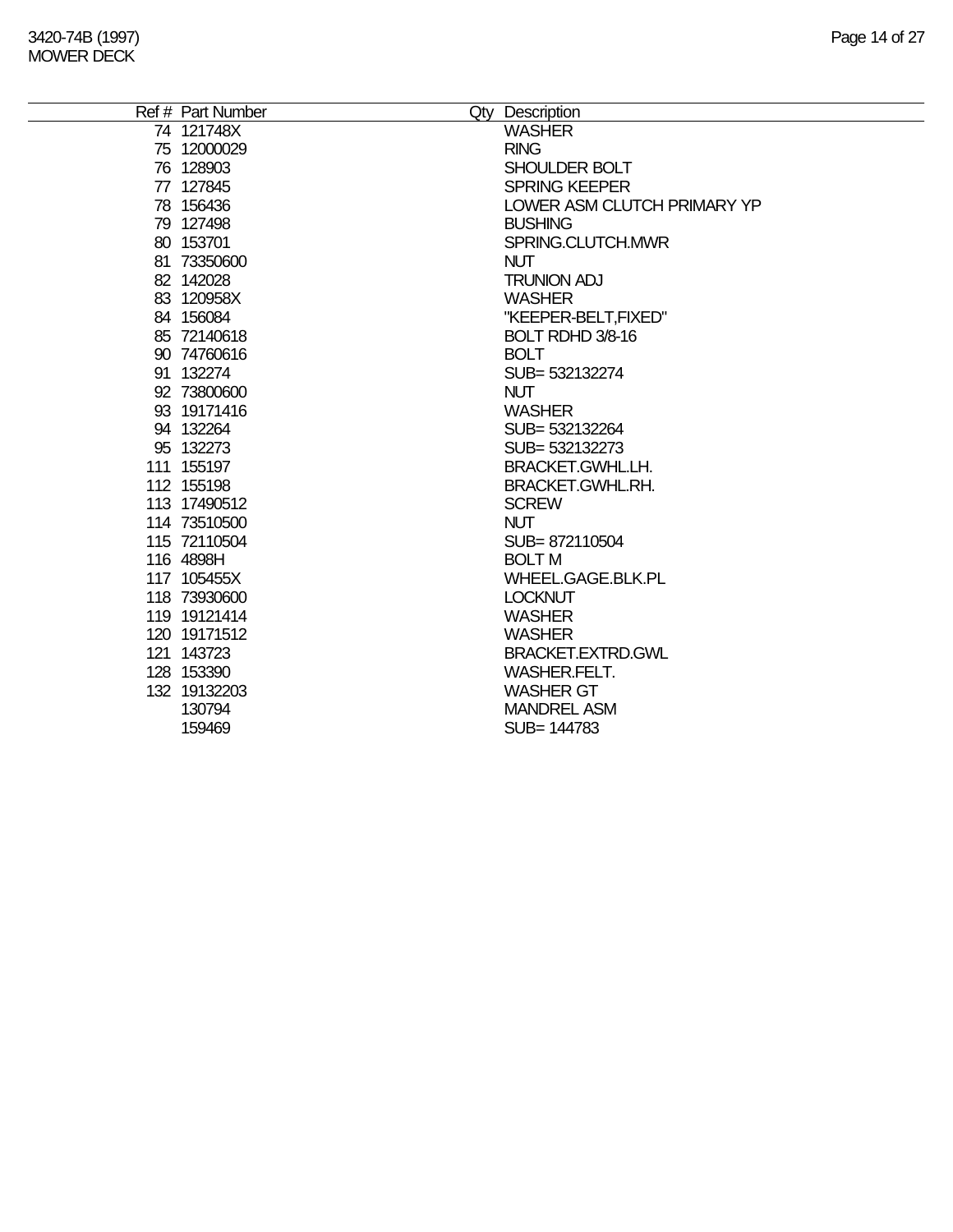| Ref # Part Number            | Qty Description                |
|------------------------------|--------------------------------|
| 74 121748X                   | <b>WASHER</b>                  |
| 75 12000029                  | <b>RING</b>                    |
| 76 128903                    | SHOULDER BOLT                  |
| 77 127845                    | <b>SPRING KEEPER</b>           |
| 78 156436                    | LOWER ASM CLUTCH PRIMARY YP    |
| 79 127498                    | <b>BUSHING</b>                 |
| 80 153701                    | SPRING.CLUTCH.MWR              |
| 81 73350600                  | <b>NUT</b>                     |
| 82 142028                    | <b>TRUNION ADJ</b>             |
| 83 120958X                   | <b>WASHER</b>                  |
| 84 156084                    | "KEEPER-BELT, FIXED"           |
| 85 72140618                  | BOLT RDHD 3/8-16               |
| 90 74760616                  | <b>BOLT</b>                    |
| 91 132274                    | SUB=532132274                  |
| 92 73800600                  | <b>NUT</b>                     |
| 93 19171416                  | <b>WASHER</b>                  |
| 94 132264                    | SUB= 532132264                 |
| 95 132273                    | SUB= 532132273                 |
| 111 155197                   | BRACKET.GWHL.LH.               |
| 112 155198                   | <b>BRACKET.GWHL.RH.</b>        |
| 113 17490512                 | <b>SCREW</b>                   |
| 114 73510500                 | <b>NUT</b>                     |
| 115 72110504                 | SUB=872110504                  |
| 116 4898H                    | <b>BOLT M</b>                  |
| 117 105455X                  | WHEEL.GAGE.BLK.PL              |
| 118 73930600                 | <b>LOCKNUT</b>                 |
| 119 19121414<br>120 19171512 | <b>WASHER</b><br><b>WASHER</b> |
| 121 143723                   | BRACKET.EXTRD.GWL              |
| 128 153390                   | <b>WASHER.FELT.</b>            |
| 132 19132203                 | <b>WASHER GT</b>               |
| 130794                       | <b>MANDREL ASM</b>             |
| 159469                       | SUB= 144783                    |
|                              |                                |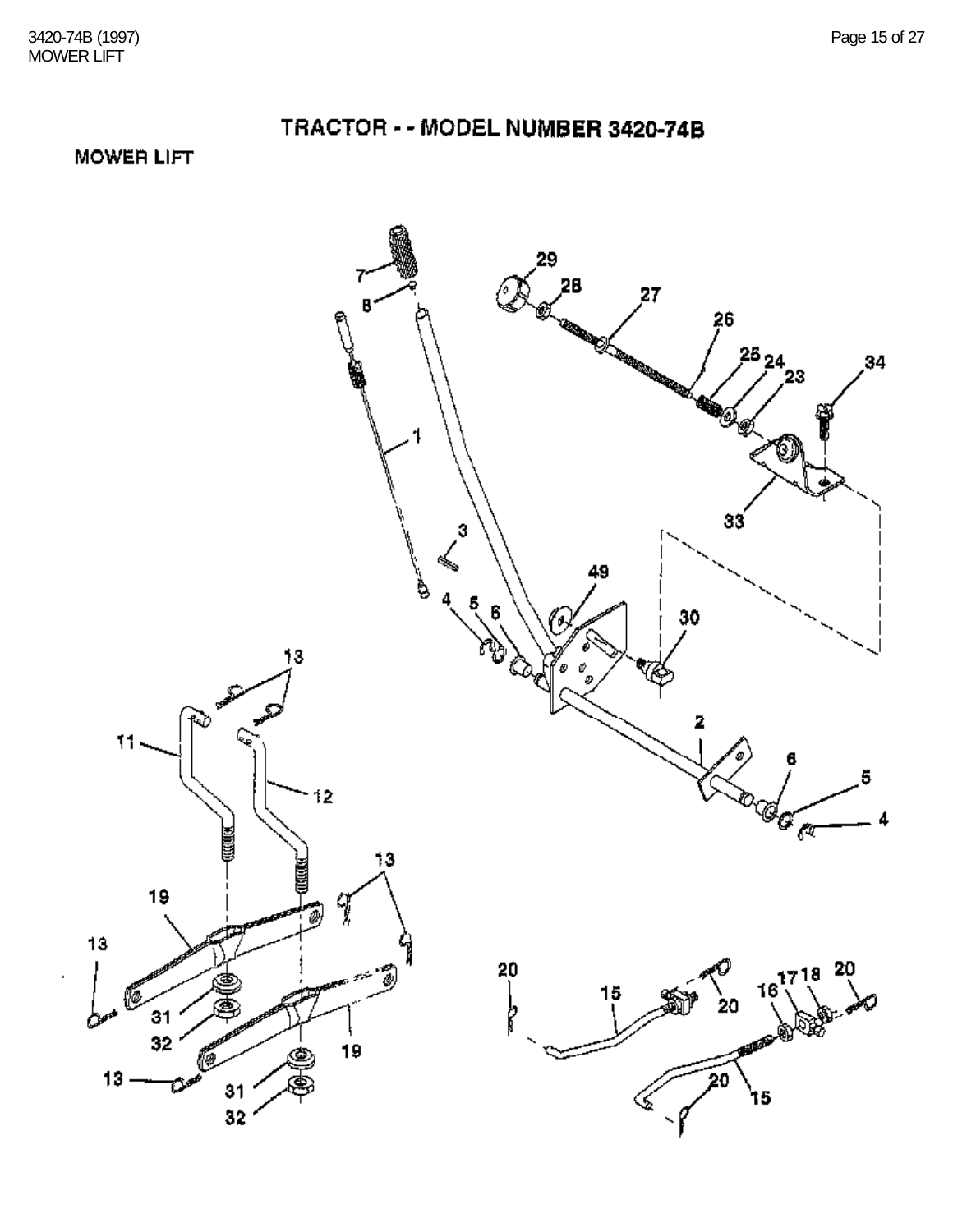**MOWER LIFT** 

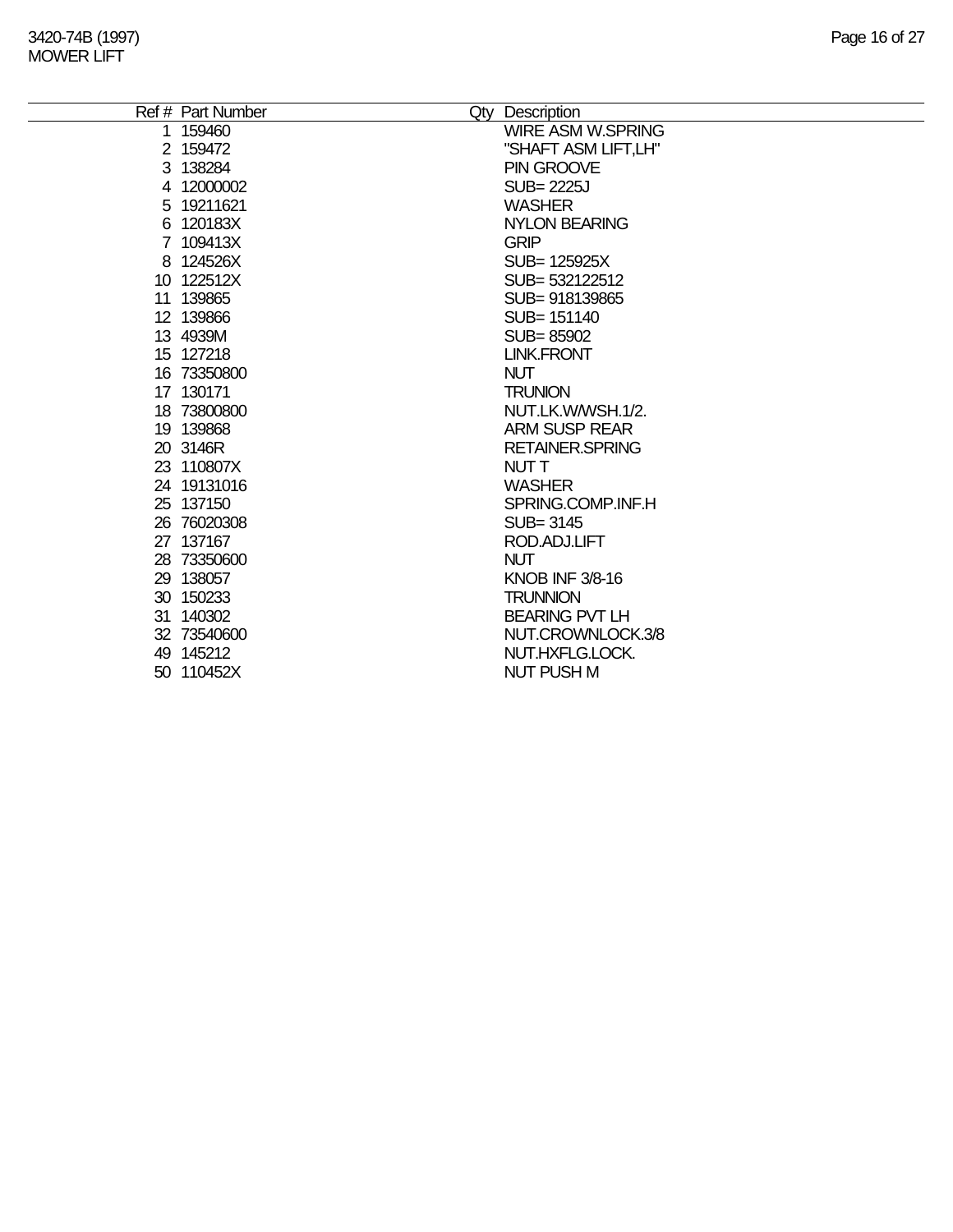÷,

| Ref # Part Number | Qty Description          |
|-------------------|--------------------------|
| 1 159460          | <b>WIRE ASM W.SPRING</b> |
| 2 159472          | "SHAFT ASM LIFT,LH"      |
| 3 138284          | PIN GROOVE               |
| 4 12000002        | <b>SUB=2225J</b>         |
| 5 19211621        | <b>WASHER</b>            |
| 6 120183X         | <b>NYLON BEARING</b>     |
| 7 109413X         | <b>GRIP</b>              |
| 8 124526X         | SUB= 125925X             |
| 10 122512X        | SUB= 532122512           |
| 11 139865         | SUB=918139865            |
| 12 139866         | SUB= 151140              |
| 13 4939M          | SUB=85902                |
| 15 127218         | <b>LINK.FRONT</b>        |
| 16 73350800       | <b>NUT</b>               |
| 17 130171         | <b>TRUNION</b>           |
| 18 73800800       | NUT.LK.W/WSH.1/2.        |
| 19 139868         | <b>ARM SUSP REAR</b>     |
| 20 3146R          | <b>RETAINER.SPRING</b>   |
| 23 110807X        | NUT T                    |
| 24 19131016       | <b>WASHER</b>            |
| 25 137150         | SPRING.COMP.INF.H        |
| 26 76020308       | SUB= 3145                |
| 27 137167         | ROD.ADJ.LIFT             |
| 28 73350600       | <b>NUT</b>               |
| 29 138057         | <b>KNOB INF 3/8-16</b>   |
| 30 150233         | <b>TRUNNION</b>          |
| 31 140302         | <b>BEARING PVT LH</b>    |
| 32 73540600       | NUT.CROWNLOCK.3/8        |
| 49 145212         | NUT.HXFLG.LOCK.          |
| 50 110452X        | <b>NUT PUSH M</b>        |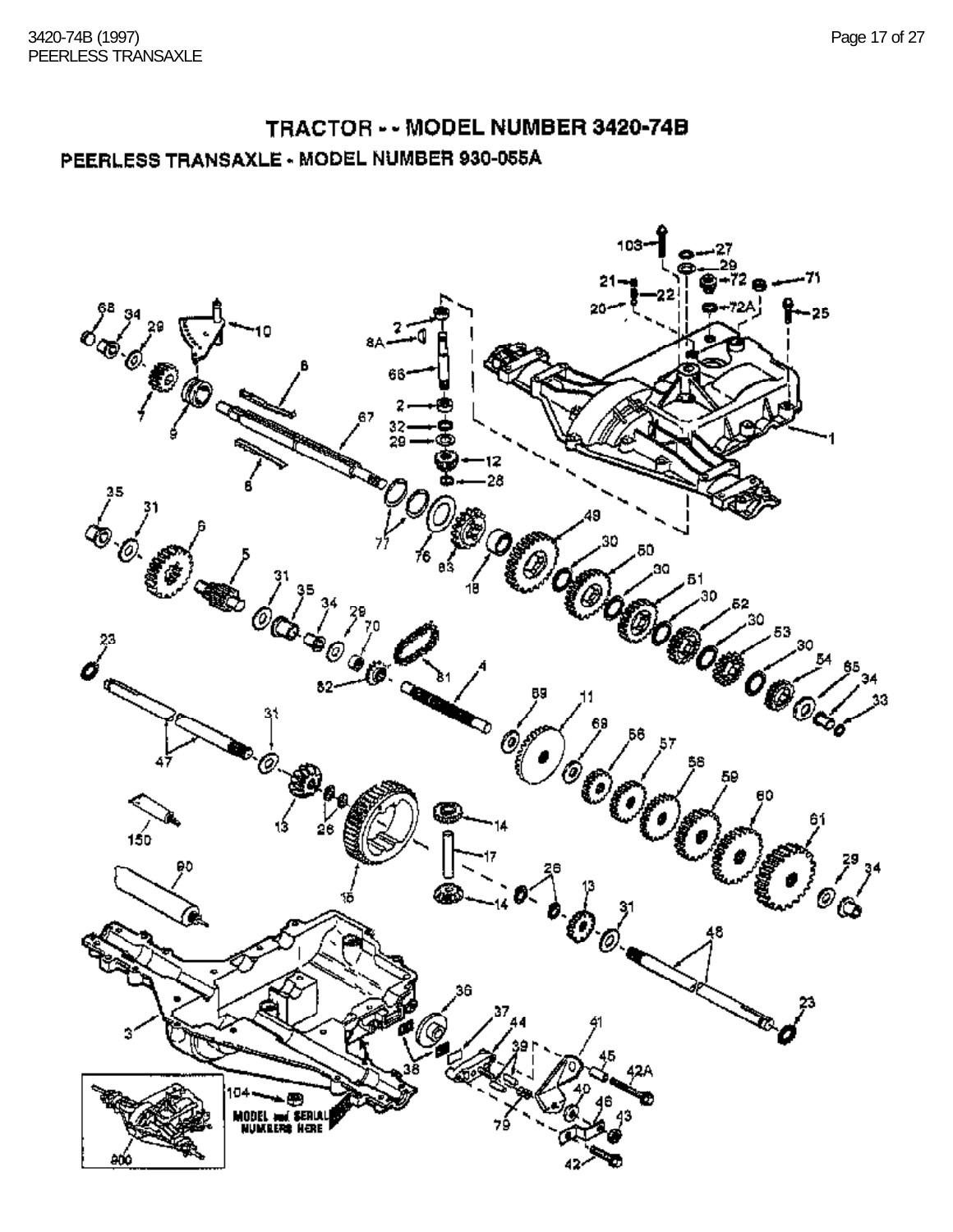#### TRACTOR - - MODEL NUMBER 3420-74B PEERLESS TRANSAXLE - MODEL NUMBER 930-055A

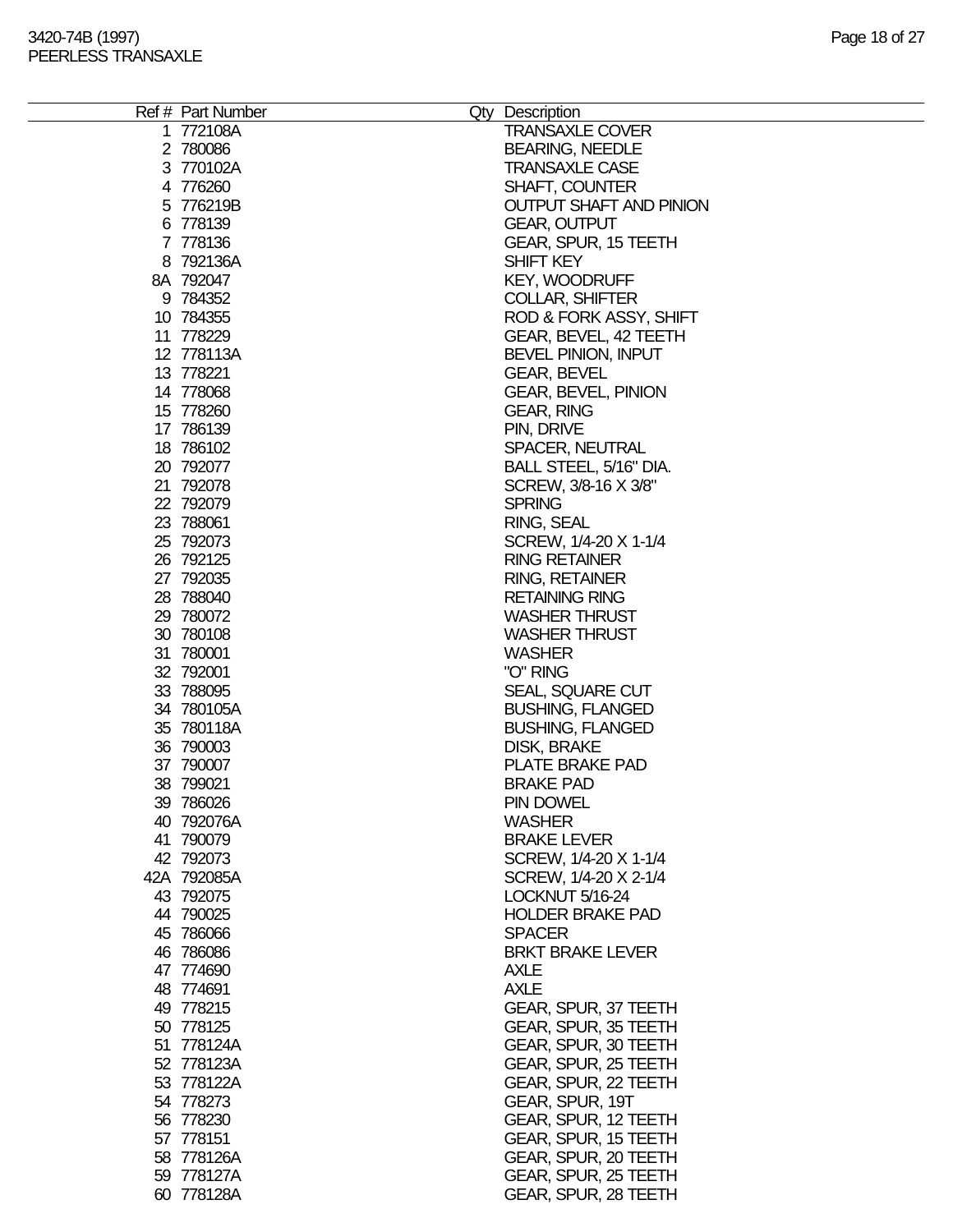| Ref # Part Number | Qty Description                |
|-------------------|--------------------------------|
| 1 772108A         | <b>TRANSAXLE COVER</b>         |
| 2 780086          | <b>BEARING, NEEDLE</b>         |
| 3 770102A         | <b>TRANSAXLE CASE</b>          |
| 4 776260          | <b>SHAFT, COUNTER</b>          |
| 5 776219B         | <b>OUTPUT SHAFT AND PINION</b> |
| 6 778139          | <b>GEAR, OUTPUT</b>            |
| 7 778136          | GEAR, SPUR, 15 TEETH           |
| 8 792136A         | SHIFT KEY                      |
|                   |                                |
| 8A 792047         | <b>KEY, WOODRUFF</b>           |
| 9 784352          | <b>COLLAR, SHIFTER</b>         |
| 10 784355         | ROD & FORK ASSY, SHIFT         |
| 11 778229         | GEAR, BEVEL, 42 TEETH          |
| 12 778113A        | BEVEL PINION, INPUT            |
| 13 778221         | <b>GEAR, BEVEL</b>             |
| 14 778068         | <b>GEAR, BEVEL, PINION</b>     |
| 15 778260         | <b>GEAR, RING</b>              |
| 17 786139         | PIN, DRIVE                     |
| 18 786102         | SPACER, NEUTRAL                |
| 20 792077         | BALL STEEL, 5/16" DIA.         |
| 21 792078         | SCREW, 3/8-16 X 3/8"           |
| 22 792079         | <b>SPRING</b>                  |
| 23 788061         | RING, SEAL                     |
| 25 792073         | SCREW, 1/4-20 X 1-1/4          |
| 26 792125         | <b>RING RETAINER</b>           |
| 27 792035         | <b>RING, RETAINER</b>          |
| 28 788040         | <b>RETAINING RING</b>          |
| 29 780072         | <b>WASHER THRUST</b>           |
| 30 780108         | <b>WASHER THRUST</b>           |
| 31 780001         | <b>WASHER</b>                  |
| 32 792001         | "O" RING                       |
| 33 788095         | SEAL, SQUARE CUT               |
| 34 780105A        | <b>BUSHING, FLANGED</b>        |
| 35 780118A        | <b>BUSHING, FLANGED</b>        |
| 36 790003         | DISK, BRAKE                    |
| 37 790007         | PLATE BRAKE PAD                |
| 38 799021         | <b>BRAKE PAD</b>               |
| 39 786026         | PIN DOWEL                      |
| 40 792076A        | <b>WASHER</b>                  |
| 41 790079         | <b>BRAKE LEVER</b>             |
| 42 792073         | SCREW, 1/4-20 X 1-1/4          |
| 42A 792085A       | SCREW, 1/4-20 X 2-1/4          |
| 43 792075         | LOCKNUT 5/16-24                |
| 44 790025         | <b>HOLDER BRAKE PAD</b>        |
| 45 786066         | <b>SPACER</b>                  |
|                   | <b>BRKT BRAKE LEVER</b>        |
| 46 786086         |                                |
| 47 774690         | <b>AXLE</b>                    |
| 48 774691         | <b>AXLE</b>                    |
| 49 778215         | GEAR, SPUR, 37 TEETH           |
| 50 778125         | GEAR, SPUR, 35 TEETH           |
| 51 778124A        | GEAR, SPUR, 30 TEETH           |
| 52 778123A        | GEAR, SPUR, 25 TEETH           |
| 53 778122A        | GEAR, SPUR, 22 TEETH           |
| 54 778273         | GEAR, SPUR, 19T                |
| 56 778230         | GEAR, SPUR, 12 TEETH           |
| 57 778151         | GEAR, SPUR, 15 TEETH           |
| 58 778126A        | GEAR, SPUR, 20 TEETH           |
| 59 778127A        | GEAR, SPUR, 25 TEETH           |
| 60 778128A        | GEAR, SPUR, 28 TEETH           |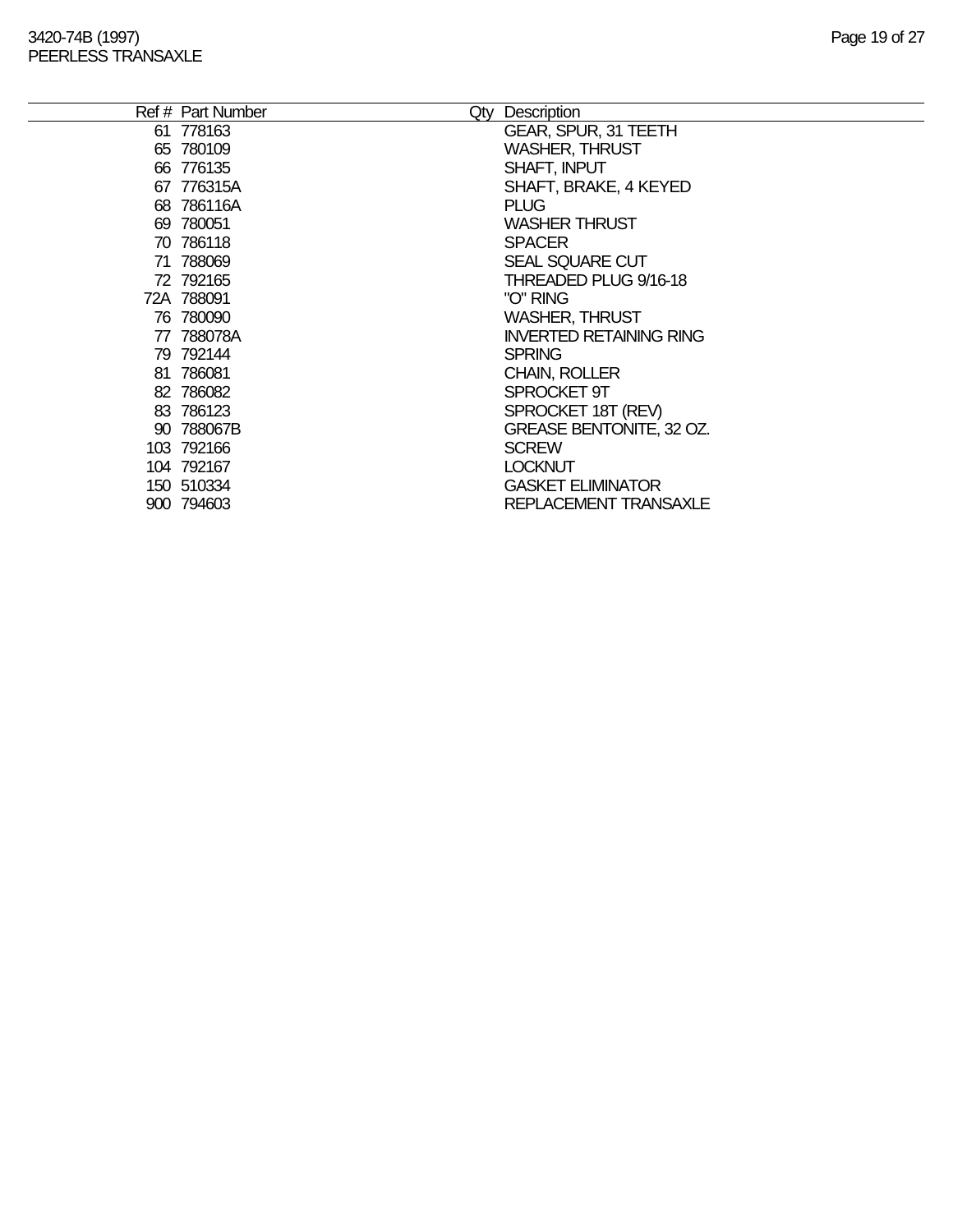|    | Ref # Part Number | Qty Description                 |
|----|-------------------|---------------------------------|
|    | 61 778163         | <b>GEAR, SPUR, 31 TEETH</b>     |
|    | 65 780109         | <b>WASHER, THRUST</b>           |
|    | 66 776135         | SHAFT, INPUT                    |
|    | 67 776315A        | SHAFT, BRAKE, 4 KEYED           |
|    | 68 786116A        | <b>PLUG</b>                     |
|    | 69 780051         | <b>WASHER THRUST</b>            |
|    | 70 786118         | <b>SPACER</b>                   |
|    | 71 788069         | <b>SEAL SQUARE CUT</b>          |
|    | 72 792165         | THREADED PLUG 9/16-18           |
|    | 72A 788091        | "O" RING                        |
|    | 76 780090         | <b>WASHER, THRUST</b>           |
| 77 | 788078A           | <b>INVERTED RETAINING RING</b>  |
|    | 79 792144         | <b>SPRING</b>                   |
|    | 81 786081         | <b>CHAIN, ROLLER</b>            |
|    | 82 786082         | SPROCKET 9T                     |
|    | 83 786123         | SPROCKET 18T (REV)              |
|    | 90 788067B        | <b>GREASE BENTONITE, 32 OZ.</b> |
|    | 103 792166        | <b>SCREW</b>                    |
|    | 104 792167        | <b>LOCKNUT</b>                  |
|    | 150 510334        | <b>GASKET ELIMINATOR</b>        |
|    | 900 794603        | REPLACEMENT TRANSAXLE           |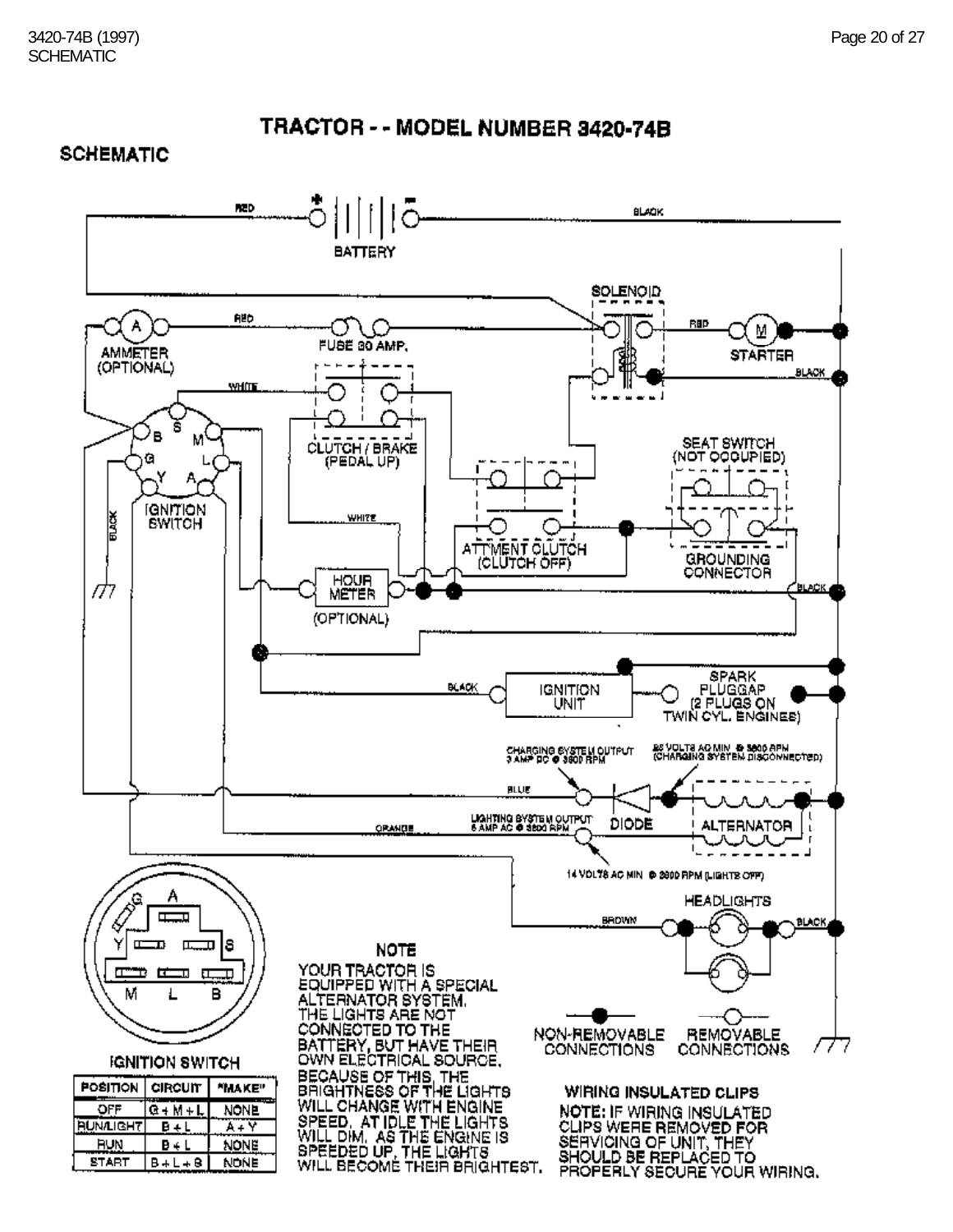#### **SCHEMATIC**

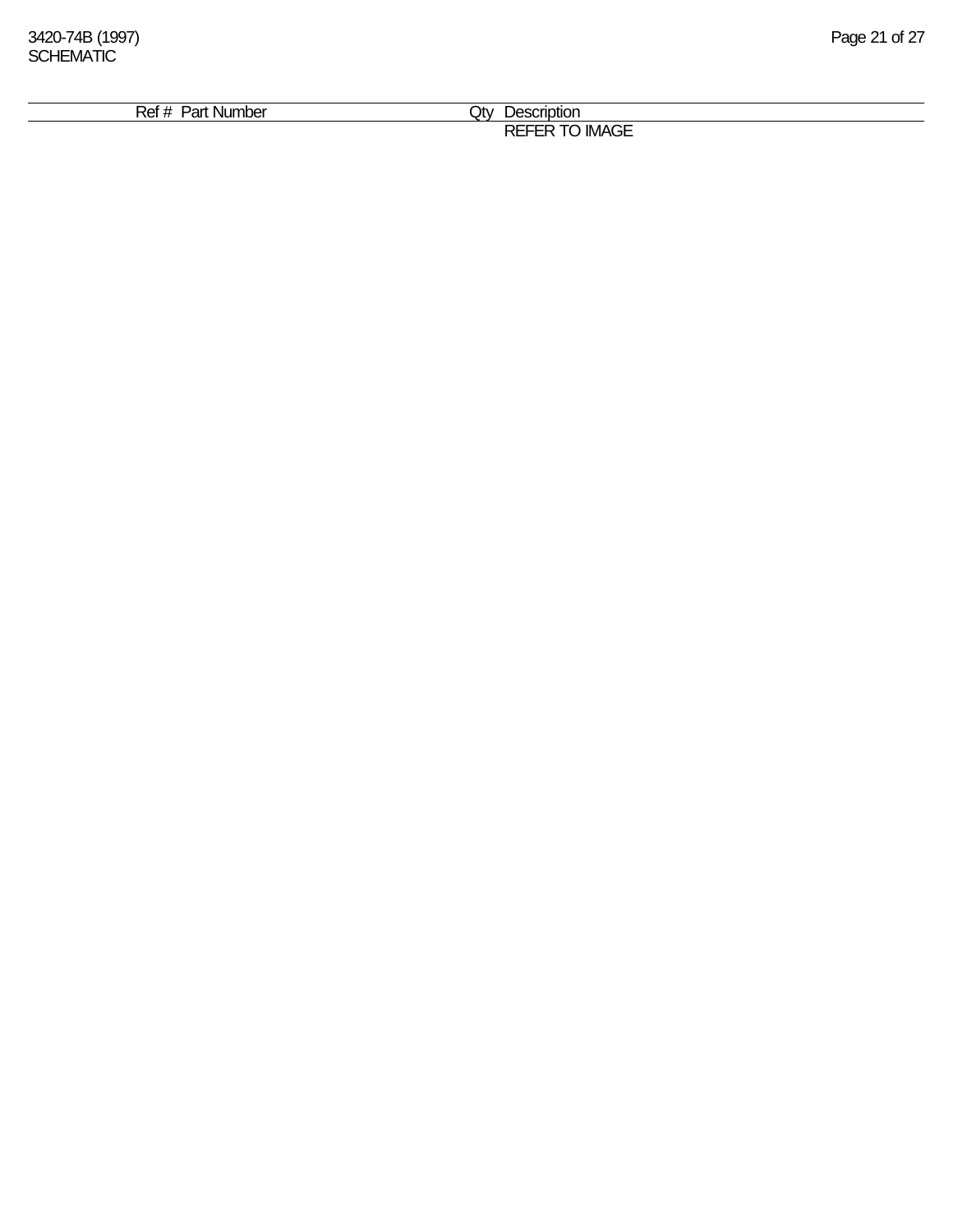| . Nur<br>$\cdot$ . $\sim$<br>nт | .)tv<br>∍בו             |  |
|---------------------------------|-------------------------|--|
| nbe <sup>r</sup><br>ʻdl<br>וסו  |                         |  |
|                                 | $\sim$ $-$<br>- -<br>பட |  |
|                                 | - IM<br>. JL<br>∼       |  |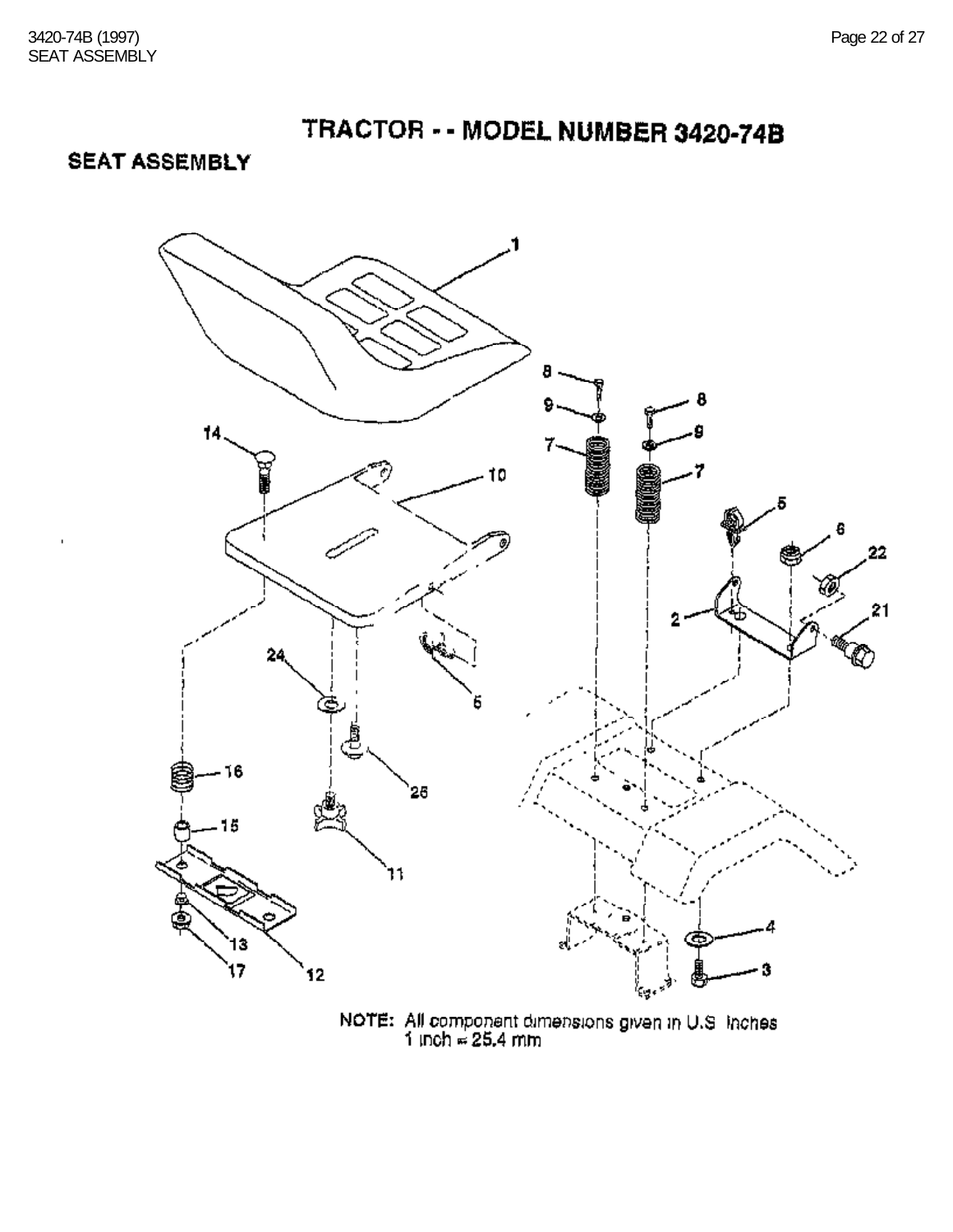**SEAT ASSEMBLY** 



NOTE: All component dimensions given in U.S. Inches  $1$  inch  $\approx 25.4$  mm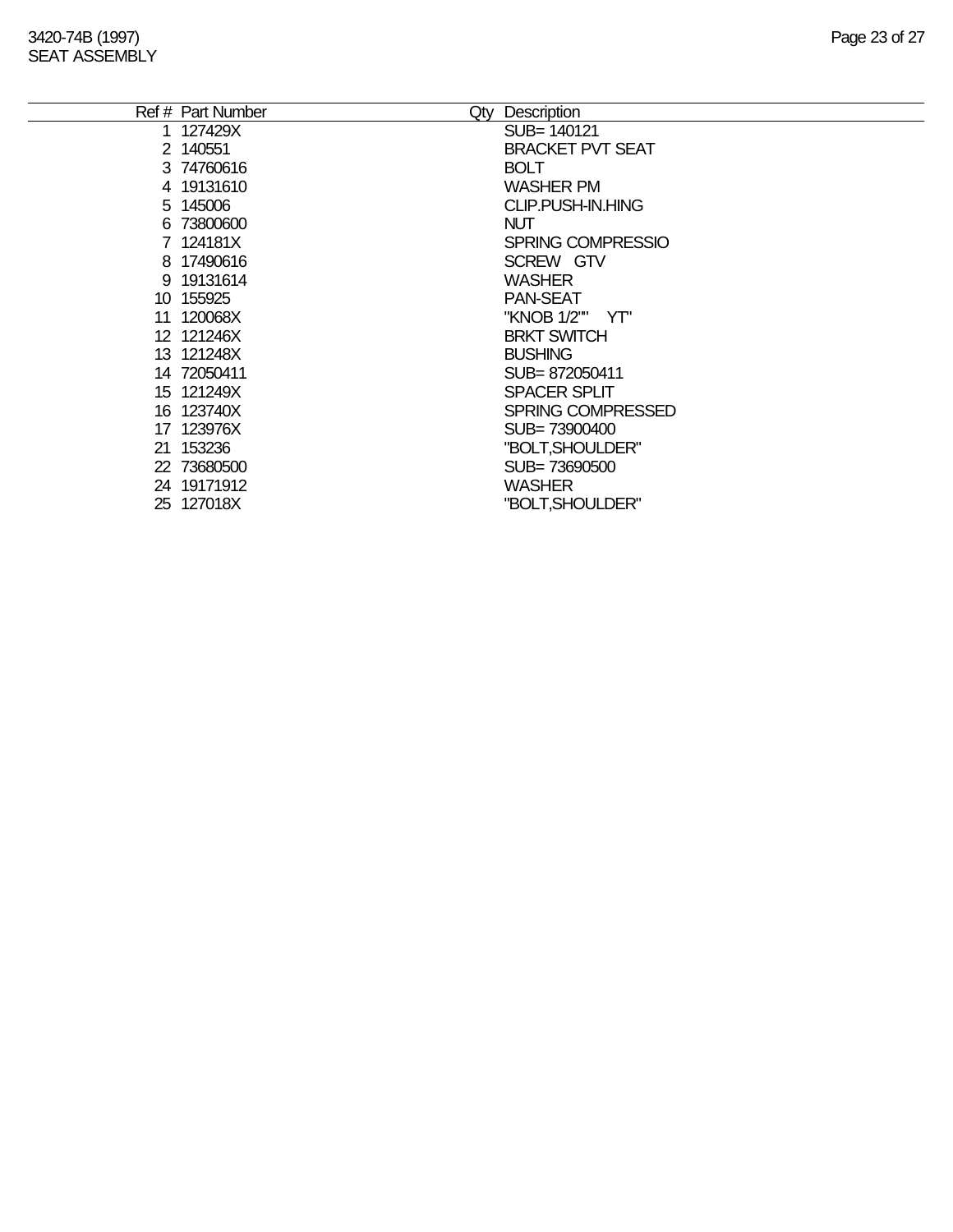### SEAT ASSEMBLY

| Ref # Part Number | Qty | Description              |
|-------------------|-----|--------------------------|
| 1 127429X         |     | SUB= 140121              |
| 2 140551          |     | <b>BRACKET PVT SEAT</b>  |
| 3 74760616        |     | <b>BOLT</b>              |
| 4 19131610        |     | <b>WASHER PM</b>         |
| 5 145006          |     | CLIP.PUSH-IN.HING        |
| 6 73800600        |     | <b>NUT</b>               |
| 7 124181X         |     | <b>SPRING COMPRESSIO</b> |
| 8 17490616        |     | SCREW GTV                |
| 9 19131614        |     | <b>WASHER</b>            |
| 10 155925         |     | <b>PAN-SEAT</b>          |
| 11 120068X        |     | "KNOB 1/2"" YT"          |
| 12 121246X        |     | <b>BRKT SWITCH</b>       |
| 13 121248X        |     | <b>BUSHING</b>           |
| 14 72050411       |     | SUB=872050411            |
| 15 121249X        |     | <b>SPACER SPLIT</b>      |
| 16 123740X        |     | <b>SPRING COMPRESSED</b> |
| 17 123976X        |     | SUB=73900400             |
| 21 153236         |     | "BOLT, SHOULDER"         |
| 22 73680500       |     | SUB=73690500             |
| 24 19171912       |     | <b>WASHER</b>            |
| 25 127018X        |     | "BOLT, SHOULDER"         |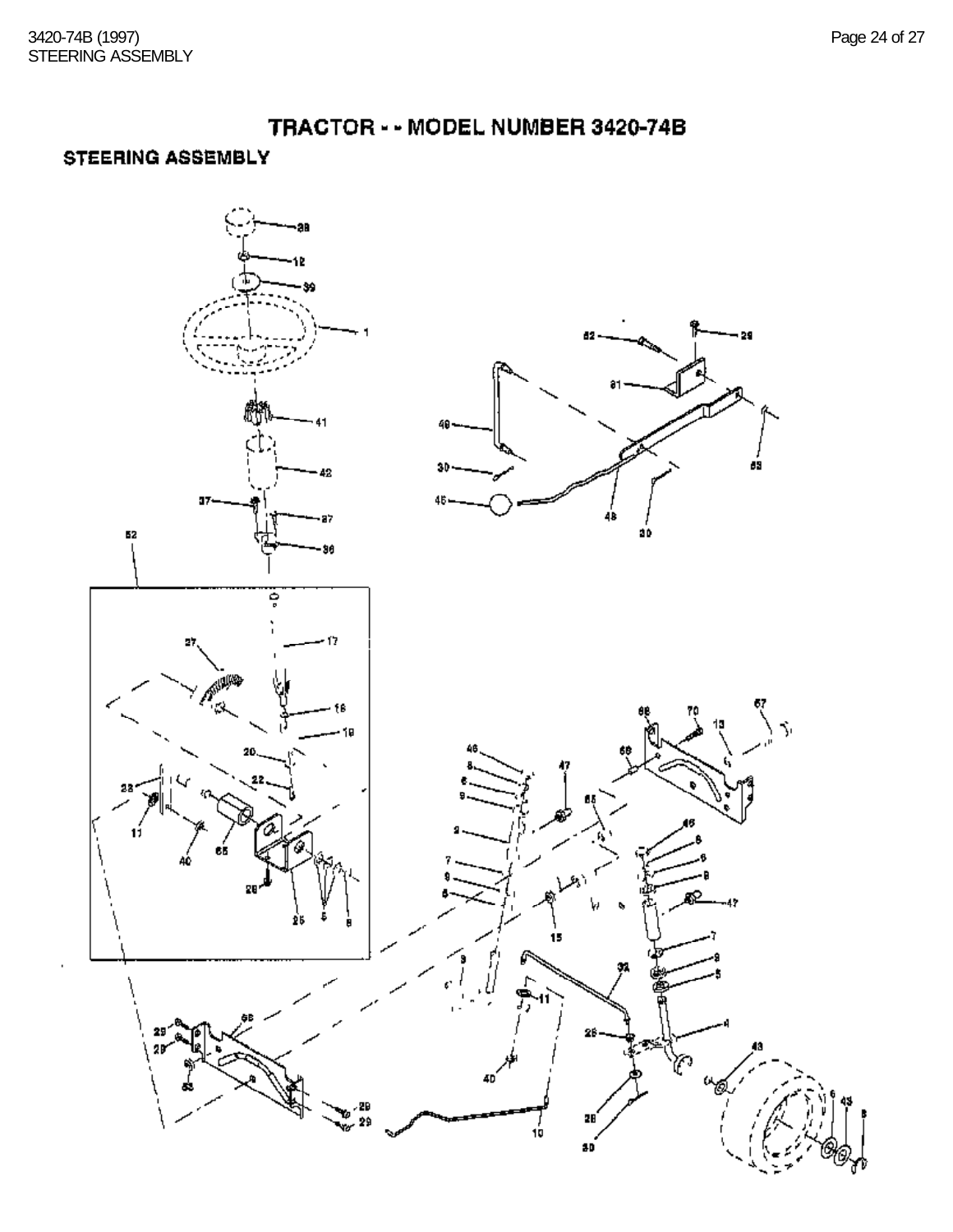#### **STEERING ASSEMBLY**

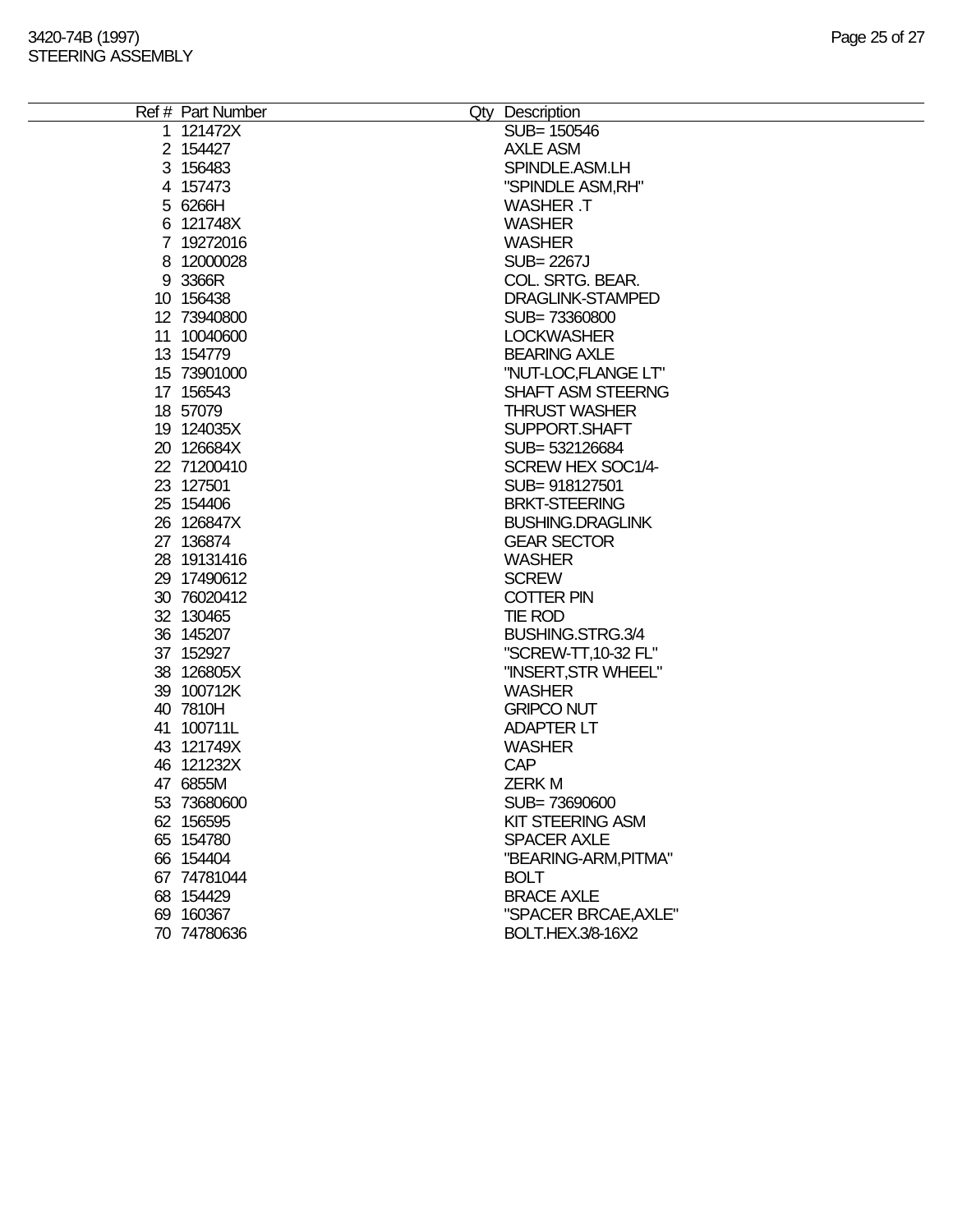| Ref # Part Number | Qty Description         |
|-------------------|-------------------------|
| 1 121472X         | SUB= 150546             |
| 2 154427          | <b>AXLE ASM</b>         |
| 3 156483          | SPINDLE.ASM.LH          |
| 4 157473          | "SPINDLE ASM, RH"       |
| 5 6266H           | <b>WASHER T</b>         |
| 6 121748X         | <b>WASHER</b>           |
| 7 19272016        | <b>WASHER</b>           |
| 8 12000028        | SUB= 2267J              |
| 9 3366R           | COL. SRTG. BEAR.        |
| 10 156438         | DRAGLINK-STAMPED        |
| 12 73940800       | SUB=73360800            |
| 11 10040600       | <b>LOCKWASHER</b>       |
| 13 154779         | <b>BEARING AXLE</b>     |
| 15 73901000       | "NUT-LOC,FLANGE LT"     |
| 17 156543         | SHAFT ASM STEERNG       |
| 18 57079          | <b>THRUST WASHER</b>    |
| 19 124035X        | SUPPORT.SHAFT           |
| 20 126684X        | SUB= 532126684          |
| 22 71200410       | SCREW HEX SOC1/4-       |
| 23 127501         | SUB=918127501           |
| 25 154406         | <b>BRKT-STEERING</b>    |
| 26 126847X        | <b>BUSHING.DRAGLINK</b> |
| 27 136874         | <b>GEAR SECTOR</b>      |
| 28 19131416       | <b>WASHER</b>           |
| 29 17490612       | <b>SCREW</b>            |
| 30 76020412       | <b>COTTER PIN</b>       |
| 32 130465         | TIE ROD                 |
| 36 145207         | BUSHING.STRG.3/4        |
| 37 152927         | "SCREW-TT, 10-32 FL"    |
| 38 126805X        | "INSERT, STR WHEEL"     |
| 39 100712K        | <b>WASHER</b>           |
| 40 7810H          | <b>GRIPCO NUT</b>       |
| 41 100711L        | <b>ADAPTER LT</b>       |
| 43 121749X        | <b>WASHER</b>           |
| 46 121232X        | <b>CAP</b>              |
| 47 6855M          | <b>ZERKM</b>            |
| 53 73680600       | SUB=73690600            |
| 62 156595         | <b>KIT STEERING ASM</b> |
| 65 154780         | <b>SPACER AXLE</b>      |
| 66 154404         | "BEARING-ARM, PITMA"    |
| 67 74781044       | <b>BOLT</b>             |
| 68 154429         | <b>BRACE AXLE</b>       |
| 69 160367         | "SPACER BRCAE, AXLE"    |
| 70 74780636       | BOLT.HEX.3/8-16X2       |
|                   |                         |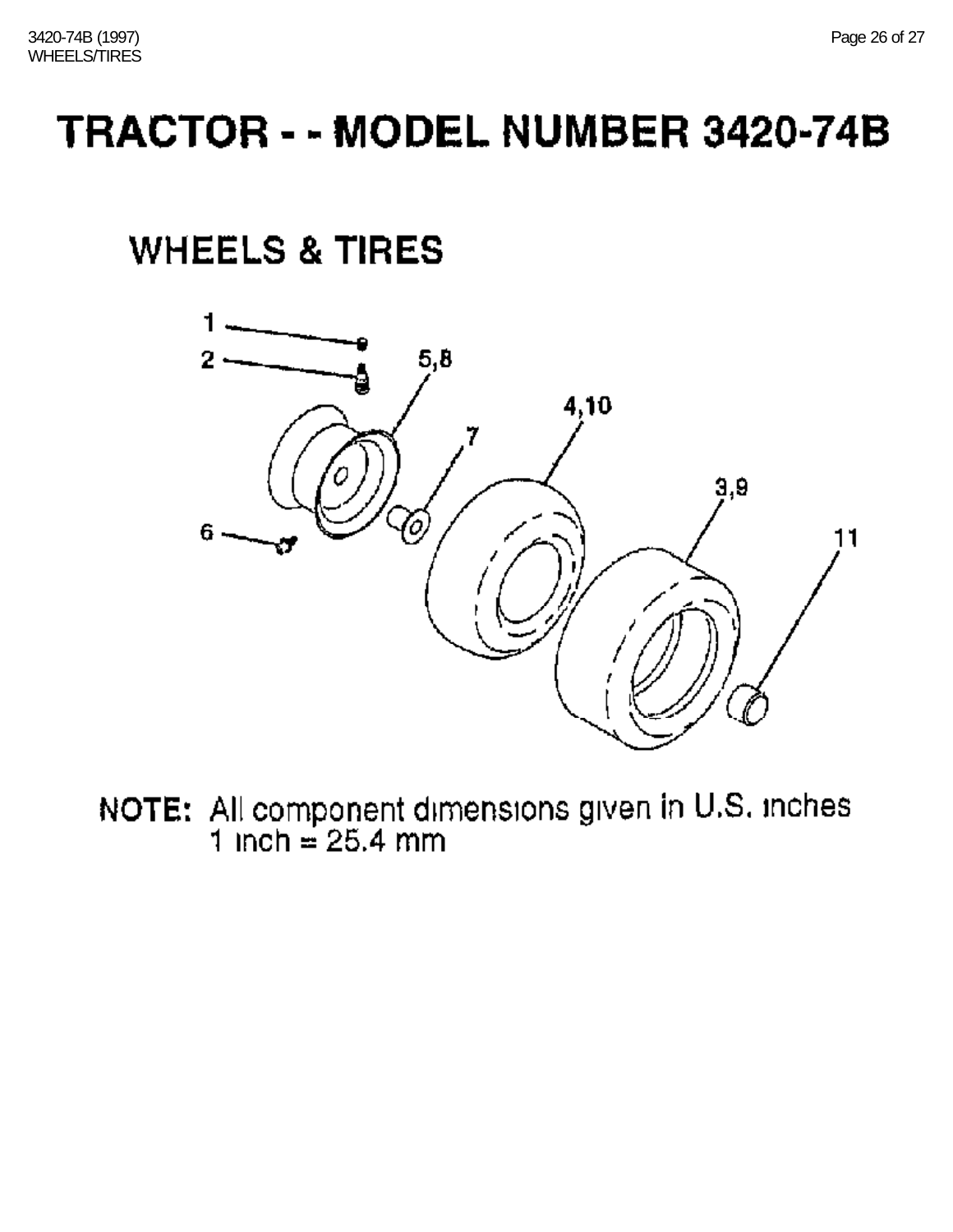## **WHEELS & TIRES**



NOTE: All component dimensions given in U.S. inches  $1$  inch = 25.4 mm